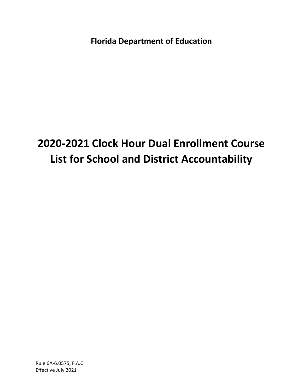**Florida Department of Education**

# **2020-2021 Clock Hour Dual Enrollment Course List for School and District Accountability**

Rule 6A-6.0575, F.A.C Effective July 2021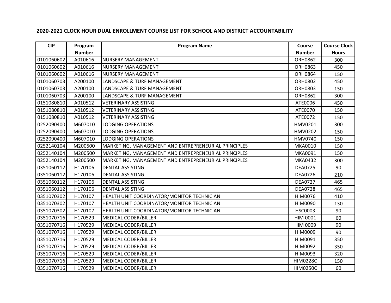| <b>CIP</b> | Program       | <b>Program Name</b>                                  | Course          | <b>Course Clock</b> |
|------------|---------------|------------------------------------------------------|-----------------|---------------------|
|            | <b>Number</b> |                                                      | <b>Number</b>   | <b>Hours</b>        |
| 0101060602 | A010616       | <b>NURSERY MANAGEMENT</b>                            | <b>ORH0862</b>  | 300                 |
| 0101060602 | A010616       | <b>NURSERY MANAGEMENT</b>                            | <b>ORH0863</b>  | 450                 |
| 0101060602 | A010616       | <b>NURSERY MANAGEMENT</b>                            | <b>ORH0864</b>  | 150                 |
| 0101060703 | A200100       | LANDSCAPE & TURF MANAGEMENT                          | <b>ORH0802</b>  | 450                 |
| 0101060703 | A200100       | LANDSCAPE & TURF MANAGEMENT                          | <b>ORH0803</b>  | 150                 |
| 0101060703 | A200100       | LANDSCAPE & TURF MANAGEMENT                          | <b>ORH0862</b>  | 300                 |
| 0151080810 | A010512       | <b>VETERINARY ASSISTING</b>                          | ATE0006         | 450                 |
| 0151080810 | A010512       | <b>VETERINARY ASSISTING</b>                          | ATE0070         | 150                 |
| 0151080810 | A010512       | <b>VETERINARY ASSISTING</b>                          | ATE0072         | 150                 |
| 0252090400 | M607010       | <b>LODGING OPERATIONS</b>                            | HMV0201         | 300                 |
| 0252090400 | M607010       | <b>LODGING OPERATIONS</b>                            | <b>HMV0202</b>  | 150                 |
| 0252090400 | M607010       | <b>LODGING OPERATIONS</b>                            | <b>HMV0740</b>  | 150                 |
| 0252140104 | M200500       | MARKETING, MANAGEMENT AND ENTREPRENEURIAL PRINCIPLES | MKA0010         | 150                 |
| 0252140104 | M200500       | MARKETING, MANAGEMENT AND ENTREPRENEURIAL PRINCIPLES | MKA0091         | 150                 |
| 0252140104 | M200500       | MARKETING, MANAGEMENT AND ENTREPRENEURIAL PRINCIPLES | MKA0432         | 300                 |
| 0351060112 | H170106       | <b>DENTAL ASSISTING</b>                              | <b>DEA0725</b>  | 90                  |
| 0351060112 | H170106       | <b>DENTAL ASSISTING</b>                              | <b>DEA0726</b>  | 210                 |
| 0351060112 | H170106       | <b>DENTAL ASSISTING</b>                              | <b>DEA0727</b>  | 465                 |
| 0351060112 | H170106       | <b>DENTAL ASSISTING</b>                              | <b>DEA0728</b>  | 465                 |
| 0351070302 | H170107       | HEALTH UNIT COORDINATOR/MONITOR TECHNICIAN           | <b>HIM0076</b>  | 410                 |
| 0351070302 | H170107       | HEALTH UNIT COORDINATOR/MONITOR TECHNICIAN           | HIM0090         | 130                 |
| 0351070302 | H170107       | HEALTH UNIT COORDINATOR/MONITOR TECHNICIAN           | <b>HSC0003</b>  | 90                  |
| 0351070716 | H170529       | MEDICAL CODER/BILLER                                 | <b>HIM 0001</b> | 60                  |
| 0351070716 | H170529       | MEDICAL CODER/BILLER                                 | HIM 0009        | 90                  |
| 0351070716 | H170529       | MEDICAL CODER/BILLER                                 | HIM0009         | 90                  |
| 0351070716 | H170529       | MEDICAL CODER/BILLER                                 | HIM0091         | 350                 |
| 0351070716 | H170529       | MEDICAL CODER/BILLER                                 | HIM0092         | 350                 |
| 0351070716 | H170529       | MEDICAL CODER/BILLER                                 | HIM0093         | 320                 |
| 0351070716 | H170529       | MEDICAL CODER/BILLER                                 | <b>HIM0228C</b> | 150                 |
| 0351070716 | H170529       | <b>MEDICAL CODER/BILLER</b>                          | <b>HIM0250C</b> | 60                  |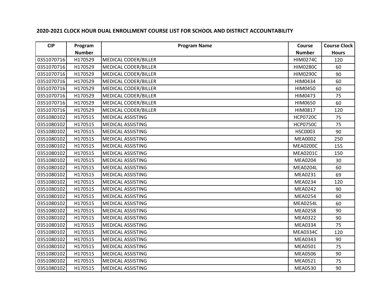| <b>CIP</b> | Program       | <b>Program Name</b>         | Course          | <b>Course Clock</b> |
|------------|---------------|-----------------------------|-----------------|---------------------|
|            | <b>Number</b> |                             | <b>Number</b>   | <b>Hours</b>        |
| 0351070716 | H170529       | <b>MEDICAL CODER/BILLER</b> | <b>HIM0274C</b> | 120                 |
| 0351070716 | H170529       | MEDICAL CODER/BILLER        | <b>HIM0280C</b> | 60                  |
| 0351070716 | H170529       | MEDICAL CODER/BILLER        | <b>HIM0290C</b> | 90                  |
| 0351070716 | H170529       | <b>MEDICAL CODER/BILLER</b> | HIM0434         | 60                  |
| 0351070716 | H170529       | MEDICAL CODER/BILLER        | <b>HIM0450</b>  | 60                  |
| 0351070716 | H170529       | MEDICAL CODER/BILLER        | HIM0473         | 75                  |
| 0351070716 | H170529       | <b>MEDICAL CODER/BILLER</b> | <b>HIM0650</b>  | 60                  |
| 0351070716 | H170529       | MEDICAL CODER/BILLER        | HIM0817         | 120                 |
| 0351080102 | H170515       | <b>MEDICAL ASSISTING</b>    | <b>HCP0720C</b> | 75                  |
| 0351080102 | H170515       | <b>MEDICAL ASSISTING</b>    | <b>HCP0750C</b> | 75                  |
| 0351080102 | H170515       | <b>MEDICAL ASSISTING</b>    | <b>HSC0003</b>  | 90                  |
| 0351080102 | H170515       | <b>MEDICAL ASSISTING</b>    | <b>MEA0002</b>  | 250                 |
| 0351080102 | H170515       | <b>MEDICAL ASSISTING</b>    | <b>MEA0200C</b> | 155                 |
| 0351080102 | H170515       | <b>MEDICAL ASSISTING</b>    | <b>MEA0201C</b> | 150                 |
| 0351080102 | H170515       | <b>MEDICAL ASSISTING</b>    | <b>MEA0204</b>  | 30                  |
| 0351080102 | H170515       | <b>MEDICAL ASSISTING</b>    | <b>MEA0204L</b> | 60                  |
| 0351080102 | H170515       | <b>MEDICAL ASSISTING</b>    | MEA0231         | 69                  |
| 0351080102 | H170515       | <b>MEDICAL ASSISTING</b>    | <b>MEA0234</b>  | 120                 |
| 0351080102 | H170515       | <b>MEDICAL ASSISTING</b>    | <b>MEA0242</b>  | 90                  |
| 0351080102 | H170515       | <b>MEDICAL ASSISTING</b>    | <b>MEA0254</b>  | 60                  |
| 0351080102 | H170515       | <b>MEDICAL ASSISTING</b>    | <b>MEA0254L</b> | 60                  |
| 0351080102 | H170515       | <b>MEDICAL ASSISTING</b>    | <b>MEA0258</b>  | 90                  |
| 0351080102 | H170515       | <b>MEDICAL ASSISTING</b>    | <b>MEA0322</b>  | 90                  |
| 0351080102 | H170515       | <b>MEDICAL ASSISTING</b>    | MEA0334         | 75                  |
| 0351080102 | H170515       | <b>MEDICAL ASSISTING</b>    | <b>MEA0334C</b> | 120                 |
| 0351080102 | H170515       | <b>MEDICAL ASSISTING</b>    | MEA0343         | 90                  |
| 0351080102 | H170515       | <b>MEDICAL ASSISTING</b>    | MEA0501         | 75                  |
| 0351080102 | H170515       | <b>MEDICAL ASSISTING</b>    | <b>MEA0506</b>  | 90                  |
| 0351080102 | H170515       | <b>MEDICAL ASSISTING</b>    | MEA0521         | 75                  |
| 0351080102 | H170515       | <b>MEDICAL ASSISTING</b>    | <b>MEA0530</b>  | 90                  |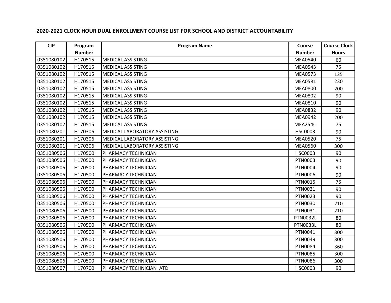| <b>CIP</b> | Program       | <b>Program Name</b>          | Course          | <b>Course Clock</b> |
|------------|---------------|------------------------------|-----------------|---------------------|
|            | <b>Number</b> |                              | <b>Number</b>   | <b>Hours</b>        |
| 0351080102 | H170515       | <b>MEDICAL ASSISTING</b>     | <b>MEA0540</b>  | 60                  |
| 0351080102 | H170515       | <b>MEDICAL ASSISTING</b>     | <b>MEA0543</b>  | 75                  |
| 0351080102 | H170515       | <b>MEDICAL ASSISTING</b>     | <b>MEA0573</b>  | 125                 |
| 0351080102 | H170515       | <b>MEDICAL ASSISTING</b>     | MEA0581         | 230                 |
| 0351080102 | H170515       | <b>MEDICAL ASSISTING</b>     | <b>MEA0800</b>  | 200                 |
| 0351080102 | H170515       | <b>MEDICAL ASSISTING</b>     | <b>MEA0802</b>  | 90                  |
| 0351080102 | H170515       | <b>MEDICAL ASSISTING</b>     | MEA0810         | 90                  |
| 0351080102 | H170515       | <b>MEDICAL ASSISTING</b>     | <b>MEA0832</b>  | 90                  |
| 0351080102 | H170515       | <b>MEDICAL ASSISTING</b>     | <b>MEA0942</b>  | 200                 |
| 0351080102 | H170515       | <b>MEDICAL ASSISTING</b>     | MEA254C         | 75                  |
| 0351080201 | H170306       | MEDICAL LABORATORY ASSISTING | <b>HSC0003</b>  | 90                  |
| 0351080201 | H170306       | MEDICAL LABORATORY ASSISTING | <b>MEA0520</b>  | 75                  |
| 0351080201 | H170306       | MEDICAL LABORATORY ASSISTING | <b>MEA0560</b>  | 300                 |
| 0351080506 | H170500       | PHARMACY TECHNICIAN          | <b>HSC0003</b>  | 90                  |
| 0351080506 | H170500       | PHARMACY TECHNICIAN          | PTN0003         | 90                  |
| 0351080506 | H170500       | PHARMACY TECHNICIAN          | PTN0004         | 90                  |
| 0351080506 | H170500       | PHARMACY TECHNICIAN          | <b>PTN0006</b>  | 90                  |
| 0351080506 | H170500       | PHARMACY TECHNICIAN          | PTN0015         | 75                  |
| 0351080506 | H170500       | PHARMACY TECHNICIAN          | PTN0021         | 90                  |
| 0351080506 | H170500       | PHARMACY TECHNICIAN          | PTN0023         | 90                  |
| 0351080506 | H170500       | PHARMACY TECHNICIAN          | PTN0030         | 210                 |
| 0351080506 | H170500       | PHARMACY TECHNICIAN          | PTN0031         | 210                 |
| 0351080506 | H170500       | PHARMACY TECHNICIAN          | <b>PTN0032L</b> | 80                  |
| 0351080506 | H170500       | PHARMACY TECHNICIAN          | <b>PTN0033L</b> | 80                  |
| 0351080506 | H170500       | PHARMACY TECHNICIAN          | PTN0041         | 300                 |
| 0351080506 | H170500       | PHARMACY TECHNICIAN          | PTN0049         | 300                 |
| 0351080506 | H170500       | PHARMACY TECHNICIAN          | <b>PTN0084</b>  | 360                 |
| 0351080506 | H170500       | PHARMACY TECHNICIAN          | <b>PTN0085</b>  | 300                 |
| 0351080506 | H170500       | PHARMACY TECHNICIAN          | PTN0086         | 300                 |
| 0351080507 | H170700       | PHARMACY TECHNICIAN ATD      | <b>HSC0003</b>  | 90                  |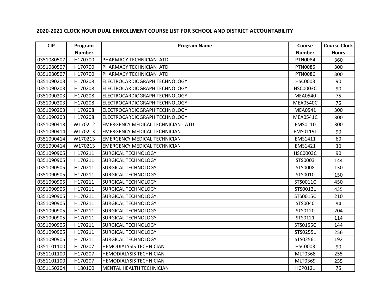| <b>CIP</b> | Program       | <b>Program Name</b>                       | Course          | <b>Course Clock</b> |
|------------|---------------|-------------------------------------------|-----------------|---------------------|
|            | <b>Number</b> |                                           | <b>Number</b>   | <b>Hours</b>        |
| 0351080507 | H170700       | PHARMACY TECHNICIAN ATD                   | PTN0084         | 360                 |
| 0351080507 | H170700       | PHARMACY TECHNICIAN ATD                   | <b>PTN0085</b>  | 300                 |
| 0351080507 | H170700       | PHARMACY TECHNICIAN ATD                   | <b>PTN0086</b>  | 300                 |
| 0351090203 | H170208       | ELECTROCARDIOGRAPH TECHNOLOGY             | <b>HSC0003</b>  | 90                  |
| 0351090203 | H170208       | ELECTROCARDIOGRAPH TECHNOLOGY             | <b>HSC0003C</b> | 90                  |
| 0351090203 | H170208       | ELECTROCARDIOGRAPH TECHNOLOGY             | <b>MEA0540</b>  | 75                  |
| 0351090203 | H170208       | ELECTROCARDIOGRAPH TECHNOLOGY             | <b>MEA0540C</b> | 75                  |
| 0351090203 | H170208       | ELECTROCARDIOGRAPH TECHNOLOGY             | MEA0541         | 300                 |
| 0351090203 | H170208       | ELECTROCARDIOGRAPH TECHNOLOGY             | <b>MEA0541C</b> | 300                 |
| 0351090413 | W170212       | <b>EMERGENCY MEDICAL TECHNICIAN - ATD</b> | EMS0110         | 300                 |
| 0351090414 | W170213       | <b>EMERGENCY MEDICAL TECHNICIAN</b>       | EMS0119L        | 90                  |
| 0351090414 | W170213       | <b>EMERGENCY MEDICAL TECHNICIAN</b>       | EMS1411         | 60                  |
| 0351090414 | W170213       | <b>EMERGENCY MEDICAL TECHNICIAN</b>       | EMS1421         | 30                  |
| 0351090905 | H170211       | <b>SURGICAL TECHNOLOGY</b>                | <b>HSC0003C</b> | 90                  |
| 0351090905 | H170211       | <b>SURGICAL TECHNOLOGY</b>                | STS0003         | 144                 |
| 0351090905 | H170211       | <b>SURGICAL TECHNOLOGY</b>                | STS0008         | 130                 |
| 0351090905 | H170211       | <b>SURGICAL TECHNOLOGY</b>                | STS0010         | 150                 |
| 0351090905 | H170211       | <b>SURGICAL TECHNOLOGY</b>                | STS0011C        | 450                 |
| 0351090905 | H170211       | <b>SURGICAL TECHNOLOGY</b>                | STS0012L        | 435                 |
| 0351090905 | H170211       | <b>SURGICAL TECHNOLOGY</b>                | STS0015C        | 210                 |
| 0351090905 | H170211       | <b>SURGICAL TECHNOLOGY</b>                | STS0040         | 94                  |
| 0351090905 | H170211       | <b>SURGICAL TECHNOLOGY</b>                | STS0120         | 204                 |
| 0351090905 | H170211       | <b>SURGICAL TECHNOLOGY</b>                | STS0121         | 114                 |
| 0351090905 | H170211       | <b>SURGICAL TECHNOLOGY</b>                | STS0155C        | 144                 |
| 0351090905 | H170211       | <b>SURGICAL TECHNOLOGY</b>                | STS0255L        | 256                 |
| 0351090905 | H170211       | <b>SURGICAL TECHNOLOGY</b>                | STS0256L        | 192                 |
| 0351101100 | H170207       | <b>HEMODIALYSIS TECHNICIAN</b>            | <b>HSC0003</b>  | 90                  |
| 0351101100 | H170207       | <b>HEMODIALYSIS TECHNICIAN</b>            | MLT0368         | 255                 |
| 0351101100 | H170207       | <b>HEMODIALYSIS TECHNICIAN</b>            | MLT0369         | 255                 |
| 0351150204 | H180100       | <b>MENTAL HEALTH TECHNICIAN</b>           | HCP0121         | 75                  |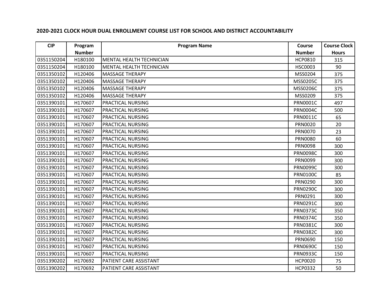| <b>CIP</b> | Program       | <b>Program Name</b>             | Course          | <b>Course Clock</b> |
|------------|---------------|---------------------------------|-----------------|---------------------|
|            | <b>Number</b> |                                 | <b>Number</b>   | <b>Hours</b>        |
| 0351150204 | H180100       | <b>MENTAL HEALTH TECHNICIAN</b> | <b>HCP0810</b>  | 315                 |
| 0351150204 | H180100       | <b>MENTAL HEALTH TECHNICIAN</b> | <b>HSC0003</b>  | 90                  |
| 0351350102 | H120406       | <b>MASSAGE THERAPY</b>          | MSS0204         | 375                 |
| 0351350102 | H120406       | <b>MASSAGE THERAPY</b>          | MSS0205C        | 375                 |
| 0351350102 | H120406       | <b>MASSAGE THERAPY</b>          | MSS0206C        | 375                 |
| 0351350102 | H120406       | <b>MASSAGE THERAPY</b>          | MSS0209         | 375                 |
| 0351390101 | H170607       | PRACTICAL NURSING               | <b>PRN0001C</b> | 497                 |
| 0351390101 | H170607       | <b>PRACTICAL NURSING</b>        | <b>PRN0004C</b> | 500                 |
| 0351390101 | H170607       | <b>PRACTICAL NURSING</b>        | <b>PRN0011C</b> | 65                  |
| 0351390101 | H170607       | <b>PRACTICAL NURSING</b>        | <b>PRN0020</b>  | 20                  |
| 0351390101 | H170607       | <b>PRACTICAL NURSING</b>        | <b>PRN0070</b>  | 23                  |
| 0351390101 | H170607       | <b>PRACTICAL NURSING</b>        | <b>PRN0080</b>  | 60                  |
| 0351390101 | H170607       | PRACTICAL NURSING               | <b>PRN0098</b>  | 300                 |
| 0351390101 | H170607       | <b>PRACTICAL NURSING</b>        | <b>PRN0098C</b> | 300                 |
| 0351390101 | H170607       | <b>PRACTICAL NURSING</b>        | PRN0099         | 300                 |
| 0351390101 | H170607       | PRACTICAL NURSING               | <b>PRN0099C</b> | 300                 |
| 0351390101 | H170607       | <b>PRACTICAL NURSING</b>        | <b>PRN0100C</b> | 85                  |
| 0351390101 | H170607       | <b>PRACTICAL NURSING</b>        | PRN0290         | 300                 |
| 0351390101 | H170607       | PRACTICAL NURSING               | <b>PRN0290C</b> | 300                 |
| 0351390101 | H170607       | <b>PRACTICAL NURSING</b>        | PRN0291         | 300                 |
| 0351390101 | H170607       | <b>PRACTICAL NURSING</b>        | <b>PRN0291C</b> | 300                 |
| 0351390101 | H170607       | PRACTICAL NURSING               | <b>PRN0373C</b> | 350                 |
| 0351390101 | H170607       | <b>PRACTICAL NURSING</b>        | <b>PRN0374C</b> | 350                 |
| 0351390101 | H170607       | <b>PRACTICAL NURSING</b>        | <b>PRN0381C</b> | 300                 |
| 0351390101 | H170607       | PRACTICAL NURSING               | <b>PRN0382C</b> | 300                 |
| 0351390101 | H170607       | PRACTICAL NURSING               | PRN0690         | 150                 |
| 0351390101 | H170607       | <b>PRACTICAL NURSING</b>        | <b>PRN0690C</b> | 150                 |
| 0351390101 | H170607       | <b>PRACTICAL NURSING</b>        | <b>PRN0933C</b> | 150                 |
| 0351390202 | H170692       | PATIENT CARE ASSISTANT          | <b>HCP0020</b>  | 75                  |
| 0351390202 | H170692       | PATIENT CARE ASSISTANT          | <b>HCP0332</b>  | 50                  |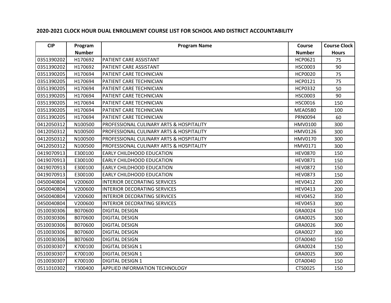| <b>CIP</b> | Program       | <b>Program Name</b>                                 | Course         | <b>Course Clock</b> |
|------------|---------------|-----------------------------------------------------|----------------|---------------------|
|            | <b>Number</b> |                                                     | <b>Number</b>  | <b>Hours</b>        |
| 0351390202 | H170692       | PATIENT CARE ASSISTANT                              | <b>HCP0621</b> | 75                  |
| 0351390202 | H170692       | PATIENT CARE ASSISTANT                              | <b>HSC0003</b> | 90                  |
| 0351390205 | H170694       | PATIENT CARE TECHNICIAN                             | <b>HCP0020</b> | 75                  |
| 0351390205 | H170694       | PATIENT CARE TECHNICIAN                             | HCP0121        | 75                  |
| 0351390205 | H170694       | PATIENT CARE TECHNICIAN                             | <b>HCP0332</b> | 50                  |
| 0351390205 | H170694       | PATIENT CARE TECHNICIAN                             | <b>HSC0003</b> | 90                  |
| 0351390205 | H170694       | PATIENT CARE TECHNICIAN                             | <b>HSC0016</b> | 150                 |
| 0351390205 | H170694       | PATIENT CARE TECHNICIAN                             | <b>MEA0580</b> | 100                 |
| 0351390205 | H170694       | PATIENT CARE TECHNICIAN                             | PRN0094        | 60                  |
| 0412050312 | N100500       | <b>PROFESSIONAL CULINARY ARTS &amp; HOSPITALITY</b> | HMV0100        | 300                 |
| 0412050312 | N100500       | PROFESSIONAL CULINARY ARTS & HOSPITALITY            | <b>HMV0126</b> | 300                 |
| 0412050312 | N100500       | PROFESSIONAL CULINARY ARTS & HOSPITALITY            | HMV0170        | 300                 |
| 0412050312 | N100500       | <b>PROFESSIONAL CULINARY ARTS &amp; HOSPITALITY</b> | HMV0171        | 300                 |
| 0419070913 | E300100       | <b>EARLY CHILDHOOD EDUCATION</b>                    | <b>HEV0870</b> | 150                 |
| 0419070913 | E300100       | <b>EARLY CHILDHOOD EDUCATION</b>                    | <b>HEV0871</b> | 150                 |
| 0419070913 | E300100       | <b>EARLY CHILDHOOD EDUCATION</b>                    | <b>HEV0872</b> | 150                 |
| 0419070913 | E300100       | <b>EARLY CHILDHOOD EDUCATION</b>                    | <b>HEV0873</b> | 150                 |
| 0450040804 | V200600       | <b>INTERIOR DECORATING SERVICES</b>                 | <b>HEV0412</b> | 200                 |
| 0450040804 | V200600       | INTERIOR DECORATING SERVICES                        | <b>HEV0413</b> | 200                 |
| 0450040804 | V200600       | INTERIOR DECORATING SERVICES                        | <b>HEV0452</b> | 350                 |
| 0450040804 | V200600       | <b>INTERIOR DECORATING SERVICES</b>                 | <b>HEV0453</b> | 300                 |
| 0510030306 | B070600       | <b>DIGITAL DESIGN</b>                               | GRA0024        | 150                 |
| 0510030306 | B070600       | <b>DIGITAL DESIGN</b>                               | GRA0025        | 300                 |
| 0510030306 | B070600       | <b>DIGITAL DESIGN</b>                               | GRA0026        | 300                 |
| 0510030306 | B070600       | <b>DIGITAL DESIGN</b>                               | GRA0027        | 300                 |
| 0510030306 | B070600       | <b>DIGITAL DESIGN</b>                               | OTA0040        | 150                 |
| 0510030307 | K700100       | <b>DIGITAL DESIGN 1</b>                             | GRA0024        | 150                 |
| 0510030307 | K700100       | <b>DIGITAL DESIGN 1</b>                             | GRA0025        | 300                 |
| 0510030307 | K700100       | <b>DIGITAL DESIGN 1</b>                             | OTA0040        | 150                 |
| 0511010302 | Y300400       | <b>APPLIED INFORMATION TECHNOLOGY</b>               | CTS0025        | 150                 |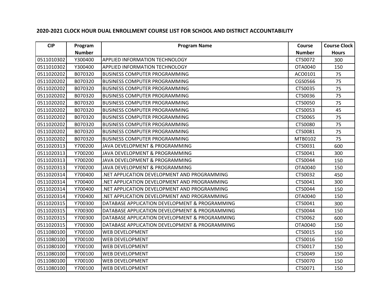| <b>CIP</b> | Program       | <b>Program Name</b>                            | Course        | <b>Course Clock</b> |
|------------|---------------|------------------------------------------------|---------------|---------------------|
|            | <b>Number</b> |                                                | <b>Number</b> | <b>Hours</b>        |
| 0511010302 | Y300400       | <b>APPLIED INFORMATION TECHNOLOGY</b>          | CTS0072       | 300                 |
| 0511010302 | Y300400       | <b>APPLIED INFORMATION TECHNOLOGY</b>          | OTA0040       | 150                 |
| 0511020202 | B070320       | <b>BUSINESS COMPUTER PROGRAMMING</b>           | ACO0101       | 75                  |
| 0511020202 | B070320       | <b>BUSINESS COMPUTER PROGRAMMING</b>           | CGS0566       | 75                  |
| 0511020202 | B070320       | <b>BUSINESS COMPUTER PROGRAMMING</b>           | CTS0035       | 75                  |
| 0511020202 | B070320       | IBUSINESS COMPUTER PROGRAMMING                 | CTS0036       | 75                  |
| 0511020202 | B070320       | <b>BUSINESS COMPUTER PROGRAMMING</b>           | CTS0050       | 75                  |
| 0511020202 | B070320       | <b>BUSINESS COMPUTER PROGRAMMING</b>           | CTS0053       | 45                  |
| 0511020202 | B070320       | <b>IBUSINESS COMPUTER PROGRAMMING</b>          | CTS0065       | 75                  |
| 0511020202 | B070320       | <b>BUSINESS COMPUTER PROGRAMMING</b>           | CTS0080       | 75                  |
| 0511020202 | B070320       | <b>BUSINESS COMPUTER PROGRAMMING</b>           | CTS0081       | 75                  |
| 0511020202 | B070320       | <b>BUSINESS COMPUTER PROGRAMMING</b>           | MTB0102       | 75                  |
| 0511020313 | Y700200       | JAVA DEVELOPMENT & PROGRAMMING                 | CTS0031       | 600                 |
| 0511020313 | Y700200       | JAVA DEVELOPMENT & PROGRAMMING                 | CTS0041       | 300                 |
| 0511020313 | Y700200       | JAVA DEVELOPMENT & PROGRAMMING                 | CTS0044       | 150                 |
| 0511020313 | Y700200       | JAVA DEVELOPMENT & PROGRAMMING                 | OTA0040       | 150                 |
| 0511020314 | Y700400       | NET APPLICATION DEVELOPMENT AND PROGRAMMING    | CTS0032       | 450                 |
| 0511020314 | Y700400       | .NET APPLICATION DEVELOPMENT AND PROGRAMMING   | CTS0041       | 300                 |
| 0511020314 | Y700400       | NET APPLICATION DEVELOPMENT AND PROGRAMMING    | CTS0044       | 150                 |
| 0511020314 | Y700400       | .NET APPLICATION DEVELOPMENT AND PROGRAMMING   | OTA0040       | 150                 |
| 0511020315 | Y700300       | DATABASE APPLICATION DEVELOPMENT & PROGRAMMING | CTS0041       | 300                 |
| 0511020315 | Y700300       | DATABASE APPLICATION DEVELOPMENT & PROGRAMMING | CTS0044       | 150                 |
| 0511020315 | Y700300       | DATABASE APPLICATION DEVELOPMENT & PROGRAMMING | CTS0062       | 600                 |
| 0511020315 | Y700300       | DATABASE APPLICATION DEVELOPMENT & PROGRAMMING | OTA0040       | 150                 |
| 0511080100 | Y700100       | <b>WEB DEVELOPMENT</b>                         | CTS0015       | 150                 |
| 0511080100 | Y700100       | <b>WEB DEVELOPMENT</b>                         | CTS0016       | 150                 |
| 0511080100 | Y700100       | <b>WEB DEVELOPMENT</b>                         | CTS0017       | 150                 |
| 0511080100 | Y700100       | <b>WEB DEVELOPMENT</b>                         | CTS0049       | 150                 |
| 0511080100 | Y700100       | <b>WEB DEVELOPMENT</b>                         | CTS0070       | 150                 |
| 0511080100 | Y700100       | <b>WEB DEVELOPMENT</b>                         | CTS0071       | 150                 |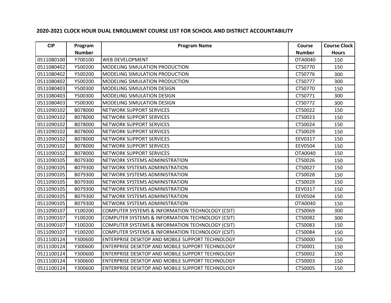| <b>CIP</b> | Program       | <b>Program Name</b>                                     | Course         | <b>Course Clock</b> |
|------------|---------------|---------------------------------------------------------|----------------|---------------------|
|            | <b>Number</b> |                                                         | <b>Number</b>  | <b>Hours</b>        |
| 0511080100 | Y700100       | <b>WEB DEVELOPMENT</b>                                  | OTA0040        | 150                 |
| 0511080402 | Y500200       | MODELING SIMULATION PRODUCTION                          | CTS0770        | 150                 |
| 0511080402 | Y500200       | MODELING SIMULATION PRODUCTION                          | CTS0776        | 300                 |
| 0511080402 | Y500200       | <b>MODELING SIMULATION PRODUCTION</b>                   | CTS0777        | 300                 |
| 0511080403 | Y500300       | <b>MODELING SIMULATION DESIGN</b>                       | CTS0770        | 150                 |
| 0511080403 | Y500300       | MODELING SIMULATION DESIGN                              | CTS0771        | 300                 |
| 0511080403 | Y500300       | <b>MODELING SIMULATION DESIGN</b>                       | CTS0772        | 300                 |
| 0511090102 | B078000       | <b>NETWORK SUPPORT SERVICES</b>                         | CTS0022        | 150                 |
| 0511090102 | B078000       | NETWORK SUPPORT SERVICES                                | CTS0023        | 150                 |
| 0511090102 | B078000       | <b>NETWORK SUPPORT SERVICES</b>                         | CTS0024        | 150                 |
| 0511090102 | B078000       | <b>NETWORK SUPPORT SERVICES</b>                         | CTS0029        | 150                 |
| 0511090102 | B078000       | <b>NETWORK SUPPORT SERVICES</b>                         | EEV0317        | 150                 |
| 0511090102 | B078000       | <b>NETWORK SUPPORT SERVICES</b>                         | <b>EEV0504</b> | 150                 |
| 0511090102 | B078000       | <b>NETWORK SUPPORT SERVICES</b>                         | OTA0040        | 150                 |
| 0511090105 | B079300       | NETWORK SYSTEMS ADMINISTRATION                          | CTS0026        | 150                 |
| 0511090105 | B079300       | NETWORK SYSTEMS ADMINISTRATION                          | CTS0027        | 150                 |
| 0511090105 | B079300       | NETWORK SYSTEMS ADMINISTRATION                          | CTS0028        | 150                 |
| 0511090105 | B079300       | NETWORK SYSTEMS ADMINISTRATION                          | CTS0029        | 150                 |
| 0511090105 | B079300       | NETWORK SYSTEMS ADMINISTRATION                          | EEV0317        | 150                 |
| 0511090105 | B079300       | NETWORK SYSTEMS ADMINISTRATION                          | <b>EEV0504</b> | 150                 |
| 0511090105 | B079300       | NETWORK SYSTEMS ADMINISTRATION                          | OTA0040        | 150                 |
| 0511090107 | Y100200       | COMPUTER SYSTEMS & INFORMATION TECHNOLOGY (CSIT)        | CTS0069        | 300                 |
| 0511090107 | Y100200       | COMPUTER SYSTEMS & INFORMATION TECHNOLOGY (CSIT)        | CTS0082        | 300                 |
| 0511090107 | Y100200       | COMPUTER SYSTEMS & INFORMATION TECHNOLOGY (CSIT)        | CTS0083        | 150                 |
| 0511090107 | Y100200       | COMPUTER SYSTEMS & INFORMATION TECHNOLOGY (CSIT)        | CTS0084        | 150                 |
| 0511100124 | Y300600       | ENTERPRISE DESKTOP AND MOBILE SUPPORT TECHNOLOGY        | <b>CTS0000</b> | 150                 |
| 0511100124 | Y300600       | <b>ENTERPRISE DESKTOP AND MOBILE SUPPORT TECHNOLOGY</b> | CTS0001        | 150                 |
| 0511100124 | Y300600       | ENTERPRISE DESKTOP AND MOBILE SUPPORT TECHNOLOGY        | CTS0002        | 150                 |
| 0511100124 | Y300600       | ENTERPRISE DESKTOP AND MOBILE SUPPORT TECHNOLOGY        | CTS0003        | 150                 |
| 0511100124 | Y300600       | ENTERPRISE DESKTOP AND MOBILE SUPPORT TECHNOLOGY        | <b>CTS0005</b> | 150                 |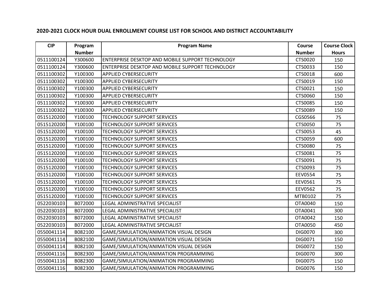| <b>CIP</b> | Program       | <b>Program Name</b>                                     | Course         | <b>Course Clock</b> |
|------------|---------------|---------------------------------------------------------|----------------|---------------------|
|            | <b>Number</b> |                                                         | <b>Number</b>  | <b>Hours</b>        |
| 0511100124 | Y300600       | <b>ENTERPRISE DESKTOP AND MOBILE SUPPORT TECHNOLOGY</b> | CTS0020        | 150                 |
| 0511100124 | Y300600       | ENTERPRISE DESKTOP AND MOBILE SUPPORT TECHNOLOGY        | CTS0033        | 150                 |
| 0511100302 | Y100300       | <b>APPLIED CYBERSECURITY</b>                            | CTS0018        | 600                 |
| 0511100302 | Y100300       | <b>APPLIED CYBERSECURITY</b>                            | CTS0019        | 150                 |
| 0511100302 | Y100300       | <b>APPLIED CYBERSECURITY</b>                            | CTS0021        | 150                 |
| 0511100302 | Y100300       | <b>APPLIED CYBERSECURITY</b>                            | CTS0060        | 150                 |
| 0511100302 | Y100300       | <b>APPLIED CYBERSECURITY</b>                            | CTS0085        | 150                 |
| 0511100302 | Y100300       | <b>APPLIED CYBERSECURITY</b>                            | CTS0089        | 150                 |
| 0515120200 | Y100100       | <b>TECHNOLOGY SUPPORT SERVICES</b>                      | CGS0566        | 75                  |
| 0515120200 | Y100100       | <b>TECHNOLOGY SUPPORT SERVICES</b>                      | CTS0050        | 75                  |
| 0515120200 | Y100100       | <b>TECHNOLOGY SUPPORT SERVICES</b>                      | CTS0053        | 45                  |
| 0515120200 | Y100100       | <b>TECHNOLOGY SUPPORT SERVICES</b>                      | CTS0059        | 600                 |
| 0515120200 | Y100100       | <b>TECHNOLOGY SUPPORT SERVICES</b>                      | <b>CTS0080</b> | 75                  |
| 0515120200 | Y100100       | <b>TECHNOLOGY SUPPORT SERVICES</b>                      | CTS0081        | 75                  |
| 0515120200 | Y100100       | <b>TECHNOLOGY SUPPORT SERVICES</b>                      | CTS0091        | 75                  |
| 0515120200 | Y100100       | <b>TECHNOLOGY SUPPORT SERVICES</b>                      | CTS0093        | 75                  |
| 0515120200 | Y100100       | <b>TECHNOLOGY SUPPORT SERVICES</b>                      | <b>EEV0554</b> | 75                  |
| 0515120200 | Y100100       | <b>TECHNOLOGY SUPPORT SERVICES</b>                      | EEV0561        | 75                  |
| 0515120200 | Y100100       | <b>TECHNOLOGY SUPPORT SERVICES</b>                      | <b>EEV0562</b> | 75                  |
| 0515120200 | Y100100       | <b>TECHNOLOGY SUPPORT SERVICES</b>                      | MTB0102        | 75                  |
| 0522030103 | B072000       | LEGAL ADMINISTRATIVE SPECIALIST                         | OTA0040        | 150                 |
| 0522030103 | B072000       | LEGAL ADMINISTRATIVE SPECIALIST                         | OTA0041        | 300                 |
| 0522030103 | B072000       | LEGAL ADMINISTRATIVE SPECIALIST                         | OTA0042        | 150                 |
| 0522030103 | B072000       | LEGAL ADMINISTRATIVE SPECIALIST                         | OTA0050        | 450                 |
| 0550041114 | B082100       | GAME/SIMULATION/ANIMATION VISUAL DESIGN                 | <b>DIG0070</b> | 300                 |
| 0550041114 | B082100       | GAME/SIMULATION/ANIMATION VISUAL DESIGN                 | DIG0071        | 150                 |
| 0550041114 | B082100       | GAME/SIMULATION/ANIMATION VISUAL DESIGN                 | DIG0072        | 150                 |
| 0550041116 | B082300       | GAME/SIMULATION/ANIMATION PROGRAMMING                   | <b>DIG0070</b> | 300                 |
| 0550041116 | B082300       | GAME/SIMULATION/ANIMATION PROGRAMMING                   | <b>DIG0075</b> | 150                 |
| 0550041116 | B082300       | GAME/SIMULATION/ANIMATION PROGRAMMING                   | <b>DIG0076</b> | 150                 |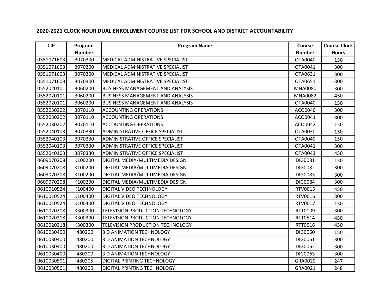| <b>CIP</b> | Program       | <b>Program Name</b>                     | Course         | <b>Course Clock</b> |
|------------|---------------|-----------------------------------------|----------------|---------------------|
|            | <b>Number</b> |                                         | <b>Number</b>  | <b>Hours</b>        |
| 0551071603 | B070300       | MEDICAL ADMINISTRATIVE SPECIALIST       | OTA0040        | 150                 |
| 0551071603 | B070300       | MEDICAL ADMINISTRATIVE SPECIALIST       | OTA0041        | 300                 |
| 0551071603 | B070300       | MEDICAL ADMINISTRATIVE SPECIALIST       | OTA0631        | 300                 |
| 0551071603 | B070300       | MEDICAL ADMINISTRATIVE SPECIALIST       | OTA0651        | 300                 |
| 0552020101 | B060200       | <b>BUSINESS MANAGEMENT AND ANALYSIS</b> | <b>MNA0080</b> | 300                 |
| 0552020101 | B060200       | <b>BUSINESS MANAGEMENT AND ANALYSIS</b> | <b>MNA0082</b> | 450                 |
| 0552020101 | B060200       | <b>BUSINESS MANAGEMENT AND ANALYSIS</b> | OTA0040        | 150                 |
| 0552030202 | B070110       | <b>ACCOUNTING OPERATIONS</b>            | ACO0040        | 300                 |
| 0552030202 | B070110       | <b>ACCOUNTING OPERATIONS</b>            | ACO0041        | 300                 |
| 0552030202 | B070110       | <b>ACCOUNTING OPERATIONS</b>            | ACO0042        | 150                 |
| 0552040103 | B070330       | <b>ADMINISTRATIVE OFFICE SPECIALIST</b> | OTA0030        | 150                 |
| 0552040103 | B070330       | <b>ADMINISTRATIVE OFFICE SPECIALIST</b> | OTA0040        | 150                 |
| 0552040103 | B070330       | <b>ADMINISTRATIVE OFFICE SPECIALIST</b> | OTA0041        | 300                 |
| 0552040103 | B070330       | <b>ADMINISTRATIVE OFFICE SPECIALIST</b> | OTA0043        | 450                 |
| 0609070208 | K100200       | DIGITAL MEDIA/MULTIMEDIA DESIGN         | DIG0081        | 150                 |
| 0609070208 | K100200       | DIGITAL MEDIA/MULTIMEDIA DESIGN         | DIG0082        | 300                 |
| 0609070208 | K100200       | DIGITAL MEDIA/MULTIMEDIA DESIGN         | DIG0083        | 300                 |
| 0609070208 | K100200       | DIGITAL MEDIA/MULTIMEDIA DESIGN         | DIG0084        | 300                 |
| 0610010524 | K100400       | DIGITAL VIDEO TECHNOLOGY                | RTV0015        | 450                 |
| 0610010524 | K100400       | DIGITAL VIDEO TECHNOLOGY                | RTV0016        | 300                 |
| 0610010524 | K100400       | <b>DIGITAL VIDEO TECHNOLOGY</b>         | RTV0017        | 150                 |
| 0610020218 | K300300       | TELEVISION PRODUCTION TECHNOLOGY        | RTT0109        | 300                 |
| 0610020218 | K300300       | TELEVISION PRODUCTION TECHNOLOGY        | RTT0514        | 450                 |
| 0610020218 | K300300       | <b>TELEVISION PRODUCTION TECHNOLOGY</b> | RTT0516        | 450                 |
| 0610030400 | 1480200       | 3 D ANIMATION TECHNOLOGY                | DIG0060        | 150                 |
| 0610030400 | 1480200       | 3 D ANIMATION TECHNOLOGY                | DIG0061        | 300                 |
| 0610030400 | 1480200       | 3 D ANIMATION TECHNOLOGY                | DIG0062        | 300                 |
| 0610030400 | 1480200       | 3 D ANIMATION TECHNOLOGY                | DIG0063        | 300                 |
| 0610030501 | 1480205       | DIGITAL PRINTING TECHNOLOGY             | GRA0020        | 247                 |
| 0610030501 | 1480205       | <b>DIGITAL PRINTING TECHNOLOGY</b>      | GRA0021        | 248                 |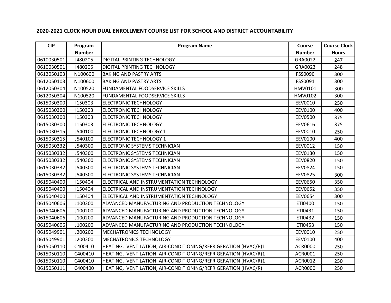| <b>CIP</b> | Program       | <b>Program Name</b>                                            | Course         | <b>Course Clock</b> |
|------------|---------------|----------------------------------------------------------------|----------------|---------------------|
|            | <b>Number</b> |                                                                | <b>Number</b>  | <b>Hours</b>        |
| 0610030501 | 1480205       | <b>DIGITAL PRINTING TECHNOLOGY</b>                             | GRA0022        | 247                 |
| 0610030501 | 1480205       | DIGITAL PRINTING TECHNOLOGY                                    | GRA0023        | 248                 |
| 0612050103 | N100600       | <b>BAKING AND PASTRY ARTS</b>                                  | FSS0090        | 300                 |
| 0612050103 | N100600       | <b>BAKING AND PASTRY ARTS</b>                                  | FSS0091        | 300                 |
| 0612050304 | N100520       | FUNDAMENTAL FOODSERVICE SKILLS                                 | HMV0101        | 300                 |
| 0612050304 | N100520       | <b>FUNDAMENTAL FOODSERVICE SKILLS</b>                          | HMV0102        | 300                 |
| 0615030300 | 1150303       | <b>ELECTRONIC TECHNOLOGY</b>                                   | EEV0010        | 250                 |
| 0615030300 | 1150303       | <b>ELECTRONIC TECHNOLOGY</b>                                   | EEV0100        | 400                 |
| 0615030300 | 1150303       | <b>ELECTRONIC TECHNOLOGY</b>                                   | <b>EEV0500</b> | 375                 |
| 0615030300 | 1150303       | <b>ELECTRONIC TECHNOLOGY</b>                                   | EEV0616        | 375                 |
| 0615030315 | J540100       | <b>ELECTRONIC TECHNOLOGY 1</b>                                 | EEV0010        | 250                 |
| 0615030315 | J540100       | <b>ELECTRONIC TECHNOLOGY 1</b>                                 | EEV0100        | 400                 |
| 0615030332 | J540300       | ELECTRONIC SYSTEMS TECHNICIAN                                  | EEV0012        | 150                 |
| 0615030332 | J540300       | ELECTRONIC SYSTEMS TECHNICIAN                                  | EEV0130        | 150                 |
| 0615030332 | J540300       | ELECTRONIC SYSTEMS TECHNICIAN                                  | <b>EEV0820</b> | 150                 |
| 0615030332 | J540300       | ELECTRONIC SYSTEMS TECHNICIAN                                  | <b>EEV0824</b> | 150                 |
| 0615030332 | J540300       | ELECTRONIC SYSTEMS TECHNICIAN                                  | <b>EEV0825</b> | 300                 |
| 0615040400 | 1150404       | ELECTRICAL AND INSTRUMENTATION TECHNOLOGY                      | <b>EEV0650</b> | 350                 |
| 0615040400 | 1150404       | ELECTRICAL AND INSTRUMENTATION TECHNOLOGY                      | <b>EEV0652</b> | 350                 |
| 0615040400 | 1150404       | ELECTRICAL AND INSTRUMENTATION TECHNOLOGY                      | EEV0654        | 300                 |
| 0615040606 | J100200       | ADVANCED MANUFACTURING AND PRODUCTION TECHNOLOGY               | ETI0400        | 150                 |
| 0615040606 | J100200       | ADVANCED MANUFACTURING AND PRODUCTION TECHNOLOGY               | ETI0431        | 150                 |
| 0615040606 | J100200       | ADVANCED MANUFACTURING AND PRODUCTION TECHNOLOGY               | ETI0432        | 150                 |
| 0615040606 | J100200       | ADVANCED MANUFACTURING AND PRODUCTION TECHNOLOGY               | ETI0453        | 150                 |
| 0615049901 | J200200       | <b>MECHATRONICS TECHNOLOGY</b>                                 | EEV0010        | 250                 |
| 0615049901 | J200200       | <b>MECHATRONICS TECHNOLOGY</b>                                 | EEV0100        | 400                 |
| 0615050110 | C400410       | HEATING, VENTILATION, AIR-CONDITIONING/REFRIGERATION (HVAC/R)1 | <b>ACR0000</b> | 250                 |
| 0615050110 | C400410       | HEATING, VENTILATION, AIR-CONDITIONING/REFRIGERATION (HVAC/R)1 | ACR0001        | 250                 |
| 0615050110 | C400410       | HEATING, VENTILATION, AIR-CONDITIONING/REFRIGERATION (HVAC/R)1 | ACR0012        | 250                 |
| 0615050111 | C400400       | HEATING, VENTILATION, AIR-CONDITIONING/REFRIGERATION (HVAC/R)  | <b>ACR0000</b> | 250                 |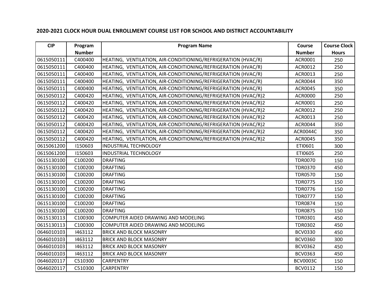| <b>CIP</b> | Program       | <b>Program Name</b>                                            | Course          | <b>Course Clock</b> |
|------------|---------------|----------------------------------------------------------------|-----------------|---------------------|
|            | <b>Number</b> |                                                                | <b>Number</b>   | <b>Hours</b>        |
| 0615050111 | C400400       | HEATING, VENTILATION, AIR-CONDITIONING/REFRIGERATION (HVAC/R)  | ACR0001         | 250                 |
| 0615050111 | C400400       | HEATING, VENTILATION, AIR-CONDITIONING/REFRIGERATION (HVAC/R)  | ACR0012         | 250                 |
| 0615050111 | C400400       | HEATING, VENTILATION, AIR-CONDITIONING/REFRIGERATION (HVAC/R)  | ACR0013         | 250                 |
| 0615050111 | C400400       | HEATING, VENTILATION, AIR-CONDITIONING/REFRIGERATION (HVAC/R)  | ACR0044         | 350                 |
| 0615050111 | C400400       | HEATING, VENTILATION, AIR-CONDITIONING/REFRIGERATION (HVAC/R)  | ACR0045         | 350                 |
| 0615050112 | C400420       | HEATING, VENTILATION, AIR-CONDITIONING/REFRIGERATION (HVAC/R)2 | <b>ACR0000</b>  | 250                 |
| 0615050112 | C400420       | HEATING, VENTILATION, AIR-CONDITIONING/REFRIGERATION (HVAC/R)2 | ACR0001         | 250                 |
| 0615050112 | C400420       | HEATING, VENTILATION, AIR-CONDITIONING/REFRIGERATION (HVAC/R)2 | ACR0012         | 250                 |
| 0615050112 | C400420       | HEATING, VENTILATION, AIR-CONDITIONING/REFRIGERATION (HVAC/R)2 | ACR0013         | 250                 |
| 0615050112 | C400420       | HEATING, VENTILATION, AIR-CONDITIONING/REFRIGERATION (HVAC/R)2 | <b>ACR0044</b>  | 350                 |
| 0615050112 | C400420       | HEATING, VENTILATION, AIR-CONDITIONING/REFRIGERATION (HVAC/R)2 | ACR0044C        | 350                 |
| 0615050112 | C400420       | HEATING, VENTILATION, AIR-CONDITIONING/REFRIGERATION (HVAC/R)2 | ACR0045         | 350                 |
| 0615061200 | 1150603       | <b>INDUSTRIAL TECHNOLOGY</b>                                   | ETI0601         | 300                 |
| 0615061200 | 1150603       | <b>INDUSTRIAL TECHNOLOGY</b>                                   | ETI0605         | 250                 |
| 0615130100 | C100200       | <b>DRAFTING</b>                                                | <b>TDR0070</b>  | 150                 |
| 0615130100 | C100200       | <b>DRAFTING</b>                                                | <b>TDR0370</b>  | 450                 |
| 0615130100 | C100200       | <b>DRAFTING</b>                                                | <b>TDR0570</b>  | 150                 |
| 0615130100 | C100200       | <b>DRAFTING</b>                                                | <b>TDR0775</b>  | 150                 |
| 0615130100 | C100200       | <b>DRAFTING</b>                                                | <b>TDR0776</b>  | 150                 |
| 0615130100 | C100200       | <b>DRAFTING</b>                                                | <b>TDR0777</b>  | 150                 |
| 0615130100 | C100200       | <b>DRAFTING</b>                                                | <b>TDR0874</b>  | 150                 |
| 0615130100 | C100200       | <b>DRAFTING</b>                                                | <b>TDR0875</b>  | 150                 |
| 0615130113 | C100300       | COMPUTER AIDED DRAWING AND MODELING                            | <b>TDR0301</b>  | 450                 |
| 0615130113 | C100300       | COMPUTER AIDED DRAWING AND MODELING                            | <b>TDR0302</b>  | 450                 |
| 0646010103 | 1463112       | <b>BRICK AND BLOCK MASONRY</b>                                 | <b>BCV0330</b>  | 450                 |
| 0646010103 | 1463112       | <b>BRICK AND BLOCK MASONRY</b>                                 | <b>BCV0360</b>  | 300                 |
| 0646010103 | 1463112       | <b>BRICK AND BLOCK MASONRY</b>                                 | <b>BCV0362</b>  | 450                 |
| 0646010103 | 1463112       | <b>BRICK AND BLOCK MASONRY</b>                                 | <b>BCV0363</b>  | 450                 |
| 0646020117 | C510300       | <b>CARPENTRY</b>                                               | <b>BCV0003C</b> | 150                 |
| 0646020117 | C510300       | <b>CARPENTRY</b>                                               | <b>BCV0112</b>  | 150                 |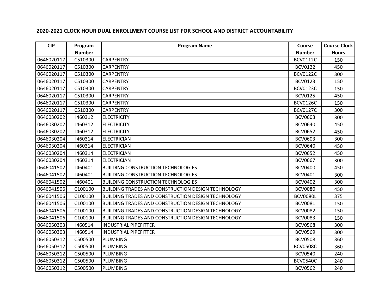| <b>CIP</b> | Program       | <b>Program Name</b>                                       | Course          | <b>Course Clock</b> |
|------------|---------------|-----------------------------------------------------------|-----------------|---------------------|
|            | <b>Number</b> |                                                           | <b>Number</b>   | <b>Hours</b>        |
| 0646020117 | C510300       | <b>CARPENTRY</b>                                          | <b>BCV0112C</b> | 150                 |
| 0646020117 | C510300       | <b>CARPENTRY</b>                                          | <b>BCV0122</b>  | 450                 |
| 0646020117 | C510300       | <b>CARPENTRY</b>                                          | <b>BCV0122C</b> | 300                 |
| 0646020117 | C510300       | <b>CARPENTRY</b>                                          | <b>BCV0123</b>  | 150                 |
| 0646020117 | C510300       | <b>CARPENTRY</b>                                          | <b>BCV0123C</b> | 150                 |
| 0646020117 | C510300       | <b>CARPENTRY</b>                                          | <b>BCV0125</b>  | 450                 |
| 0646020117 | C510300       | <b>CARPENTRY</b>                                          | <b>BCV0126C</b> | 150                 |
| 0646020117 | C510300       | <b>CARPENTRY</b>                                          | <b>BCV0127C</b> | 300                 |
| 0646030202 | 1460312       | <b>ELECTRICITY</b>                                        | <b>BCV0603</b>  | 300                 |
| 0646030202 | 1460312       | <b>ELECTRICITY</b>                                        | <b>BCV0640</b>  | 450                 |
| 0646030202 | 1460312       | <b>ELECTRICITY</b>                                        | <b>BCV0652</b>  | 450                 |
| 0646030204 | 1460314       | <b>ELECTRICIAN</b>                                        | <b>BCV0603</b>  | 300                 |
| 0646030204 | 1460314       | <b>ELECTRICIAN</b>                                        | <b>BCV0640</b>  | 450                 |
| 0646030204 | 1460314       | <b>ELECTRICIAN</b>                                        | <b>BCV0652</b>  | 450                 |
| 0646030204 | 1460314       | <b>ELECTRICIAN</b>                                        | <b>BCV0667</b>  | 300                 |
| 0646041502 | 1460401       | <b>BUILDING CONSTRUCTION TECHNOLOGIES</b>                 | <b>BCV0400</b>  | 450                 |
| 0646041502 | 1460401       | <b>BUILDING CONSTRUCTION TECHNOLOGIES</b>                 | <b>BCV0401</b>  | 300                 |
| 0646041502 | 1460401       | <b>BUILDING CONSTRUCTION TECHNOLOGIES</b>                 | <b>BCV0402</b>  | 300                 |
| 0646041506 | C100100       | <b>BUILDING TRADES AND CONSTRUCTION DESIGN TECHNOLOGY</b> | <b>BCV0080</b>  | 450                 |
| 0646041506 | C100100       | <b>BUILDING TRADES AND CONSTRUCTION DESIGN TECHNOLOGY</b> | <b>BCV0080L</b> | 375                 |
| 0646041506 | C100100       | <b>BUILDING TRADES AND CONSTRUCTION DESIGN TECHNOLOGY</b> | <b>BCV0081</b>  | 150                 |
| 0646041506 | C100100       | <b>BUILDING TRADES AND CONSTRUCTION DESIGN TECHNOLOGY</b> | <b>BCV0082</b>  | 150                 |
| 0646041506 | C100100       | <b>BUILDING TRADES AND CONSTRUCTION DESIGN TECHNOLOGY</b> | <b>BCV0083</b>  | 150                 |
| 0646050303 | 1460514       | <b>INDUSTRIAL PIPEFITTER</b>                              | <b>BCV0568</b>  | 300                 |
| 0646050303 | 1460514       | <b>INDUSTRIAL PIPEFITTER</b>                              | <b>BCV0569</b>  | 300                 |
| 0646050312 | C500500       | PLUMBING                                                  | <b>BCV0508</b>  | 360                 |
| 0646050312 | C500500       | PLUMBING                                                  | <b>BCV0508C</b> | 360                 |
| 0646050312 | C500500       | PLUMBING                                                  | <b>BCV0540</b>  | 240                 |
| 0646050312 | C500500       | PLUMBING                                                  | <b>BCV0540C</b> | 240                 |
| 0646050312 | C500500       | PLUMBING                                                  | <b>BCV0562</b>  | 240                 |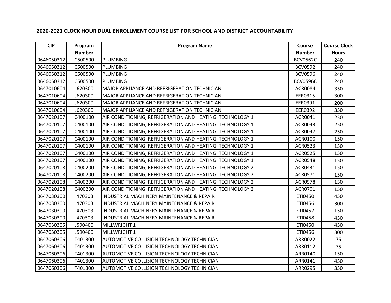| <b>CIP</b> | Program       | <b>Program Name</b>                                      | Course          | <b>Course Clock</b> |
|------------|---------------|----------------------------------------------------------|-----------------|---------------------|
|            | <b>Number</b> |                                                          | <b>Number</b>   | <b>Hours</b>        |
| 0646050312 | C500500       | PLUMBING                                                 | <b>BCV0562C</b> | 240                 |
| 0646050312 | C500500       | <b>PLUMBING</b>                                          | <b>BCV0592</b>  | 240                 |
| 0646050312 | C500500       | PLUMBING                                                 | <b>BCV0596</b>  | 240                 |
| 0646050312 | C500500       | PLUMBING                                                 | <b>BCV0596C</b> | 240                 |
| 0647010604 | J620300       | MAJOR APPLIANCE AND REFRIGERATION TECHNICIAN             | <b>ACR0084</b>  | 350                 |
| 0647010604 | J620300       | MAJOR APPLIANCE AND REFRIGERATION TECHNICIAN             | EER0315         | 300                 |
| 0647010604 | J620300       | MAJOR APPLIANCE AND REFRIGERATION TECHNICIAN             | EER0391         | 200                 |
| 0647010604 | J620300       | MAJOR APPLIANCE AND REFRIGERATION TECHNICIAN             | EER0392         | 350                 |
| 0647020107 | C400100       | AIR CONDITIONING, REFRIGERATION AND HEATING TECHNOLOGY 1 | ACR0041         | 250                 |
| 0647020107 | C400100       | AIR CONDITIONING, REFRIGERATION AND HEATING TECHNOLOGY 1 | ACR0043         | 250                 |
| 0647020107 | C400100       | AIR CONDITIONING, REFRIGERATION AND HEATING TECHNOLOGY 1 | ACR0047         | 250                 |
| 0647020107 | C400100       | AIR CONDITIONING, REFRIGERATION AND HEATING TECHNOLOGY 1 | ACR0100         | 150                 |
| 0647020107 | C400100       | AIR CONDITIONING, REFRIGERATION AND HEATING TECHNOLOGY 1 | <b>ACR0523</b>  | 150                 |
| 0647020107 | C400100       | AIR CONDITIONING, REFRIGERATION AND HEATING TECHNOLOGY 1 | <b>ACR0525</b>  | 150                 |
| 0647020107 | C400100       | AIR CONDITIONING, REFRIGERATION AND HEATING TECHNOLOGY 1 | <b>ACR0548</b>  | 150                 |
| 0647020108 | C400200       | AIR CONDITIONING, REFRIGERATION AND HEATING TECHNOLOGY 2 | ACR0431         | 150                 |
| 0647020108 | C400200       | AIR CONDITIONING, REFRIGERATION AND HEATING TECHNOLOGY 2 | ACR0571         | 150                 |
| 0647020108 | C400200       | AIR CONDITIONING, REFRIGERATION AND HEATING TECHNOLOGY 2 | <b>ACR0578</b>  | 150                 |
| 0647020108 | C400200       | AIR CONDITIONING, REFRIGERATION AND HEATING TECHNOLOGY 2 | ACR0701         | 150                 |
| 0647030300 | 1470303       | INDUSTRIAL MACHINERY MAINTENANCE & REPAIR                | ETI0450         | 450                 |
| 0647030300 | 1470303       | <b>INDUSTRIAL MACHINERY MAINTENANCE &amp; REPAIR</b>     | ETI0456         | 300                 |
| 0647030300 | 1470303       | INDUSTRIAL MACHINERY MAINTENANCE & REPAIR                | ETI0457         | 150                 |
| 0647030300 | 1470303       | <b>INDUSTRIAL MACHINERY MAINTENANCE &amp; REPAIR</b>     | ETI0458         | 450                 |
| 0647030305 | J590400       | MILLWRIGHT 1                                             | ETI0450         | 450                 |
| 0647030305 | J590400       | MILLWRIGHT 1                                             | ETI0456         | 300                 |
| 0647060306 | T401300       | <b>AUTOMOTIVE COLLISION TECHNOLOGY TECHNICIAN</b>        | ARR0022         | 75                  |
| 0647060306 | T401300       | <b>AUTOMOTIVE COLLISION TECHNOLOGY TECHNICIAN</b>        | ARR0112         | 75                  |
| 0647060306 | T401300       | AUTOMOTIVE COLLISION TECHNOLOGY TECHNICIAN               | ARR0140         | 150                 |
| 0647060306 | T401300       | <b>AUTOMOTIVE COLLISION TECHNOLOGY TECHNICIAN</b>        | ARR0141         | 450                 |
| 0647060306 | T401300       | AUTOMOTIVE COLLISION TECHNOLOGY TECHNICIAN               | ARR0295         | 350                 |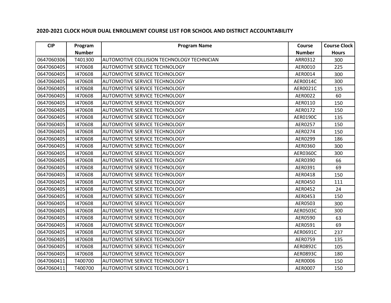| <b>CIP</b> | Program       | <b>Program Name</b>                        | Course          | <b>Course Clock</b> |
|------------|---------------|--------------------------------------------|-----------------|---------------------|
|            | <b>Number</b> |                                            | <b>Number</b>   | <b>Hours</b>        |
| 0647060306 | T401300       | AUTOMOTIVE COLLISION TECHNOLOGY TECHNICIAN | ARR0312         | 300                 |
| 0647060405 | 1470608       | <b>AUTOMOTIVE SERVICE TECHNOLOGY</b>       | AER0010         | 225                 |
| 0647060405 | 1470608       | <b>AUTOMOTIVE SERVICE TECHNOLOGY</b>       | AER0014         | 300                 |
| 0647060405 | 1470608       | <b>AUTOMOTIVE SERVICE TECHNOLOGY</b>       | AER0014C        | 300                 |
| 0647060405 | 1470608       | <b>AUTOMOTIVE SERVICE TECHNOLOGY</b>       | AER0021C        | 135                 |
| 0647060405 | 1470608       | <b>AUTOMOTIVE SERVICE TECHNOLOGY</b>       | AER0022         | 60                  |
| 0647060405 | 1470608       | <b>AUTOMOTIVE SERVICE TECHNOLOGY</b>       | AER0110         | 150                 |
| 0647060405 | 1470608       | <b>AUTOMOTIVE SERVICE TECHNOLOGY</b>       | AER0172         | 150                 |
| 0647060405 | 1470608       | <b>AUTOMOTIVE SERVICE TECHNOLOGY</b>       | AER0190C        | 135                 |
| 0647060405 | 1470608       | <b>AUTOMOTIVE SERVICE TECHNOLOGY</b>       | AER0257         | 150                 |
| 0647060405 | 1470608       | <b>AUTOMOTIVE SERVICE TECHNOLOGY</b>       | AER0274         | 150                 |
| 0647060405 | 1470608       | <b>AUTOMOTIVE SERVICE TECHNOLOGY</b>       | AER0299         | 186                 |
| 0647060405 | 1470608       | <b>AUTOMOTIVE SERVICE TECHNOLOGY</b>       | AER0360         | 300                 |
| 0647060405 | 1470608       | <b>AUTOMOTIVE SERVICE TECHNOLOGY</b>       | AER0360C        | 300                 |
| 0647060405 | 1470608       | <b>AUTOMOTIVE SERVICE TECHNOLOGY</b>       | AER0390         | 66                  |
| 0647060405 | 1470608       | AUTOMOTIVE SERVICE TECHNOLOGY              | AER0391         | 69                  |
| 0647060405 | 1470608       | <b>AUTOMOTIVE SERVICE TECHNOLOGY</b>       | AER0418         | 150                 |
| 0647060405 | 1470608       | <b>AUTOMOTIVE SERVICE TECHNOLOGY</b>       | AER0450         | 111                 |
| 0647060405 | 1470608       | AUTOMOTIVE SERVICE TECHNOLOGY              | AER0452         | 24                  |
| 0647060405 | 1470608       | <b>AUTOMOTIVE SERVICE TECHNOLOGY</b>       | AER0453         | 150                 |
| 0647060405 | 1470608       | <b>AUTOMOTIVE SERVICE TECHNOLOGY</b>       | AER0503         | 300                 |
| 0647060405 | 1470608       | AUTOMOTIVE SERVICE TECHNOLOGY              | <b>AER0503C</b> | 300                 |
| 0647060405 | 1470608       | <b>AUTOMOTIVE SERVICE TECHNOLOGY</b>       | AER0590         | 63                  |
| 0647060405 | 1470608       | <b>AUTOMOTIVE SERVICE TECHNOLOGY</b>       | AER0591         | 69                  |
| 0647060405 | 1470608       | <b>AUTOMOTIVE SERVICE TECHNOLOGY</b>       | AER0691C        | 237                 |
| 0647060405 | 1470608       | <b>AUTOMOTIVE SERVICE TECHNOLOGY</b>       | AER0759         | 135                 |
| 0647060405 | 1470608       | <b>AUTOMOTIVE SERVICE TECHNOLOGY</b>       | AER0892C        | 105                 |
| 0647060405 | 1470608       | <b>AUTOMOTIVE SERVICE TECHNOLOGY</b>       | AER0893C        | 180                 |
| 0647060411 | T400700       | <b>AUTOMOTIVE SERVICE TECHNOLOGY 1</b>     | AER0006         | 150                 |
| 0647060411 | T400700       | <b>AUTOMOTIVE SERVICE TECHNOLOGY 1</b>     | AER0007         | 150                 |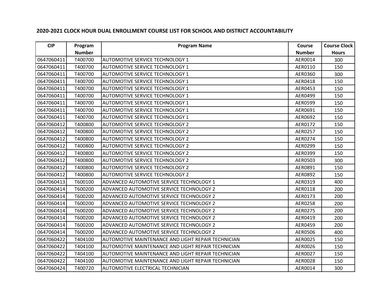| <b>CIP</b> | Program       | <b>Program Name</b>                                | Course        | <b>Course Clock</b> |
|------------|---------------|----------------------------------------------------|---------------|---------------------|
|            | <b>Number</b> |                                                    | <b>Number</b> | <b>Hours</b>        |
| 0647060411 | T400700       | <b>AUTOMOTIVE SERVICE TECHNOLOGY 1</b>             | AER0014       | 300                 |
| 0647060411 | T400700       | <b>AUTOMOTIVE SERVICE TECHNOLOGY 1</b>             | AER0110       | 150                 |
| 0647060411 | T400700       | AUTOMOTIVE SERVICE TECHNOLOGY 1                    | AER0360       | 300                 |
| 0647060411 | T400700       | <b>AUTOMOTIVE SERVICE TECHNOLOGY 1</b>             | AER0418       | 150                 |
| 0647060411 | T400700       | <b>AUTOMOTIVE SERVICE TECHNOLOGY 1</b>             | AER0453       | 150                 |
| 0647060411 | T400700       | AUTOMOTIVE SERVICE TECHNOLOGY 1                    | AER0499       | 150                 |
| 0647060411 | T400700       | <b>AUTOMOTIVE SERVICE TECHNOLOGY 1</b>             | AER0599       | 150                 |
| 0647060411 | T400700       | <b>AUTOMOTIVE SERVICE TECHNOLOGY 1</b>             | AER0691       | 150                 |
| 0647060411 | T400700       | AUTOMOTIVE SERVICE TECHNOLOGY 1                    | AER0692       | 150                 |
| 0647060412 | T400800       | <b>AUTOMOTIVE SERVICE TECHNOLOGY 2</b>             | AER0172       | 150                 |
| 0647060412 | T400800       | <b>AUTOMOTIVE SERVICE TECHNOLOGY 2</b>             | AER0257       | 150                 |
| 0647060412 | T400800       | <b>AUTOMOTIVE SERVICE TECHNOLOGY 2</b>             | AER0274       | 150                 |
| 0647060412 | T400800       | <b>AUTOMOTIVE SERVICE TECHNOLOGY 2</b>             | AER0299       | 150                 |
| 0647060412 | T400800       | <b>AUTOMOTIVE SERVICE TECHNOLOGY 2</b>             | AER0399       | 150                 |
| 0647060412 | T400800       | <b>AUTOMOTIVE SERVICE TECHNOLOGY 2</b>             | AER0503       | 300                 |
| 0647060412 | T400800       | <b>AUTOMOTIVE SERVICE TECHNOLOGY 2</b>             | AER0891       | 150                 |
| 0647060412 | T400800       | <b>AUTOMOTIVE SERVICE TECHNOLOGY 2</b>             | AER0892       | 150                 |
| 0647060413 | T600100       | ADVANCED AUTOMOTIVE SERVICE TECHNOLOGY 1           | AER0319       | 400                 |
| 0647060414 | T600200       | ADVANCED AUTOMOTIVE SERVICE TECHNOLOGY 2           | AER0118       | 200                 |
| 0647060414 | T600200       | ADVANCED AUTOMOTIVE SERVICE TECHNOLOGY 2           | AER0173       | 200                 |
| 0647060414 | T600200       | ADVANCED AUTOMOTIVE SERVICE TECHNOLOGY 2           | AER0258       | 200                 |
| 0647060414 | T600200       | ADVANCED AUTOMOTIVE SERVICE TECHNOLOGY 2           | AER0275       | 200                 |
| 0647060414 | T600200       | ADVANCED AUTOMOTIVE SERVICE TECHNOLOGY 2           | AER0419       | 200                 |
| 0647060414 | T600200       | ADVANCED AUTOMOTIVE SERVICE TECHNOLOGY 2           | AER0459       | 200                 |
| 0647060414 | T600200       | ADVANCED AUTOMOTIVE SERVICE TECHNOLOGY 2           | AER0506       | 400                 |
| 0647060422 | T404100       | AUTOMOTIVE MAINTENANCE AND LIGHT REPAIR TECHNICIAN | AER0025       | 150                 |
| 0647060422 | T404100       | AUTOMOTIVE MAINTENANCE AND LIGHT REPAIR TECHNICIAN | AER0026       | 150                 |
| 0647060422 | T404100       | AUTOMOTIVE MAINTENANCE AND LIGHT REPAIR TECHNICIAN | AER0027       | 150                 |
| 0647060422 | T404100       | AUTOMOTIVE MAINTENANCE AND LIGHT REPAIR TECHNICIAN | AER0028       | 150                 |
| 0647060424 | T400720       | <b>AUTOMOTIVE ELECTRICAL TECHNICIAN</b>            | AER0014       | 300                 |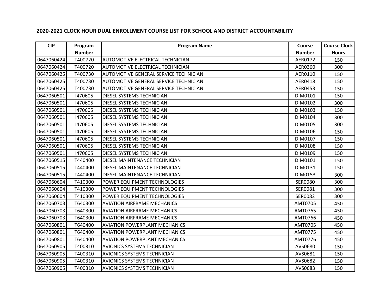| <b>CIP</b> | Program       | <b>Program Name</b>                          | Course         | <b>Course Clock</b> |
|------------|---------------|----------------------------------------------|----------------|---------------------|
|            | <b>Number</b> |                                              | <b>Number</b>  | <b>Hours</b>        |
| 0647060424 | T400720       | AUTOMOTIVE ELECTRICAL TECHNICIAN             | AER0172        | 150                 |
| 0647060424 | T400720       | <b>AUTOMOTIVE ELECTRICAL TECHNICIAN</b>      | AER0360        | 300                 |
| 0647060425 | T400730       | <b>AUTOMOTIVE GENERAL SERVICE TECHNICIAN</b> | AER0110        | 150                 |
| 0647060425 | T400730       | AUTOMOTIVE GENERAL SERVICE TECHNICIAN        | AER0418        | 150                 |
| 0647060425 | T400730       | AUTOMOTIVE GENERAL SERVICE TECHNICIAN        | AER0453        | 150                 |
| 0647060501 | 1470605       | <b>DIESEL SYSTEMS TECHNICIAN</b>             | DIM0101        | 150                 |
| 0647060501 | 1470605       | DIESEL SYSTEMS TECHNICIAN                    | DIM0102        | 300                 |
| 0647060501 | 1470605       | DIESEL SYSTEMS TECHNICIAN                    | DIM0103        | 150                 |
| 0647060501 | 1470605       | <b>DIESEL SYSTEMS TECHNICIAN</b>             | DIM0104        | 300                 |
| 0647060501 | 1470605       | DIESEL SYSTEMS TECHNICIAN                    | DIM0105        | 300                 |
| 0647060501 | 1470605       | <b>DIESEL SYSTEMS TECHNICIAN</b>             | DIM0106        | 150                 |
| 0647060501 | 1470605       | <b>DIESEL SYSTEMS TECHNICIAN</b>             | DIM0107        | 150                 |
| 0647060501 | 1470605       | DIESEL SYSTEMS TECHNICIAN                    | DIM0108        | 150                 |
| 0647060501 | 1470605       | <b>DIESEL SYSTEMS TECHNICIAN</b>             | DIM0109        | 150                 |
| 0647060515 | T440400       | DIESEL MAINTENANCE TECHNICIAN                | DIM0101        | 150                 |
| 0647060515 | T440400       | DIESEL MAINTENANCE TECHNICIAN                | DIM0131        | 150                 |
| 0647060515 | T440400       | DIESEL MAINTENANCE TECHNICIAN                | DIM0153        | 300                 |
| 0647060604 | T410300       | POWER EQUIPMENT TECHNOLOGIES                 | <b>SER0080</b> | 300                 |
| 0647060604 | T410300       | POWER EQUIPMENT TECHNOLOGIES                 | SER0081        | 300                 |
| 0647060604 | T410300       | POWER EQUIPMENT TECHNOLOGIES                 | <b>SER0082</b> | 300                 |
| 0647060703 | T640300       | <b>AVIATION AIRFRAME MECHANICS</b>           | AMT0705        | 450                 |
| 0647060703 | T640300       | <b>AVIATION AIRFRAME MECHANICS</b>           | AMT0765        | 450                 |
| 0647060703 | T640300       | <b>AVIATION AIRFRAME MECHANICS</b>           | AMT0766        | 450                 |
| 0647060801 | T640400       | <b>AVIATION POWERPLANT MECHANICS</b>         | AMT0705        | 450                 |
| 0647060801 | T640400       | <b>AVIATION POWERPLANT MECHANICS</b>         | AMT0775        | 450                 |
| 0647060801 | T640400       | <b>AVIATION POWERPLANT MECHANICS</b>         | AMT0776        | 450                 |
| 0647060905 | T400310       | <b>AVIONICS SYSTEMS TECHNICIAN</b>           | AVS0680        | 150                 |
| 0647060905 | T400310       | <b>AVIONICS SYSTEMS TECHNICIAN</b>           | AVS0681        | 150                 |
| 0647060905 | T400310       | <b>AVIONICS SYSTEMS TECHNICIAN</b>           | AVS0682        | 150                 |
| 0647060905 | T400310       | <b>AVIONICS SYSTEMS TECHNICIAN</b>           | AVS0683        | 150                 |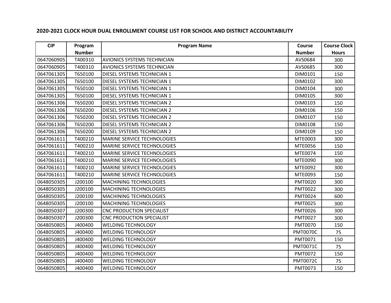| <b>CIP</b> | Program       | <b>Program Name</b>                | Course          | <b>Course Clock</b> |
|------------|---------------|------------------------------------|-----------------|---------------------|
|            | <b>Number</b> |                                    | <b>Number</b>   | <b>Hours</b>        |
| 0647060905 | T400310       | <b>AVIONICS SYSTEMS TECHNICIAN</b> | AVS0684         | 300                 |
| 0647060905 | T400310       | <b>AVIONICS SYSTEMS TECHNICIAN</b> | AVS0685         | 300                 |
| 0647061305 | T650100       | <b>DIESEL SYSTEMS TECHNICIAN 1</b> | DIM0101         | 150                 |
| 0647061305 | T650100       | DIESEL SYSTEMS TECHNICIAN 1        | DIM0102         | 300                 |
| 0647061305 | T650100       | DIESEL SYSTEMS TECHNICIAN 1        | DIM0104         | 300                 |
| 0647061305 | T650100       | DIESEL SYSTEMS TECHNICIAN 1        | DIM0105         | 300                 |
| 0647061306 | T650200       | DIESEL SYSTEMS TECHNICIAN 2        | DIM0103         | 150                 |
| 0647061306 | T650200       | DIESEL SYSTEMS TECHNICIAN 2        | DIM0106         | 150                 |
| 0647061306 | T650200       | <b>DIESEL SYSTEMS TECHNICIAN 2</b> | DIM0107         | 150                 |
| 0647061306 | T650200       | DIESEL SYSTEMS TECHNICIAN 2        | DIM0108         | 150                 |
| 0647061306 | T650200       | DIESEL SYSTEMS TECHNICIAN 2        | DIM0109         | 150                 |
| 0647061611 | T400210       | <b>MARINE SERVICE TECHNOLOGIES</b> | MTE0003         | 300                 |
| 0647061611 | T400210       | <b>MARINE SERVICE TECHNOLOGIES</b> | MTE0056         | 150                 |
| 0647061611 | T400210       | <b>MARINE SERVICE TECHNOLOGIES</b> | MTE0074         | 150                 |
| 0647061611 | T400210       | <b>MARINE SERVICE TECHNOLOGIES</b> | MTE0090         | 300                 |
| 0647061611 | T400210       | <b>MARINE SERVICE TECHNOLOGIES</b> | MTE0092         | 300                 |
| 0647061611 | T400210       | <b>MARINE SERVICE TECHNOLOGIES</b> | MTE0093         | 150                 |
| 0648050305 | J200100       | <b>MACHINING TECHNOLOGIES</b>      | <b>PMT0020</b>  | 300                 |
| 0648050305 | J200100       | <b>MACHINING TECHNOLOGIES</b>      | <b>PMT0022</b>  | 300                 |
| 0648050305 | J200100       | <b>MACHINING TECHNOLOGIES</b>      | <b>PMT0024</b>  | 600                 |
| 0648050305 | J200100       | <b>MACHINING TECHNOLOGIES</b>      | <b>PMT0025</b>  | 300                 |
| 0648050307 | J200300       | <b>CNC PRODUCTION SPECIALIST</b>   | <b>PMT0026</b>  | 300                 |
| 0648050307 | J200300       | <b>CNC PRODUCTION SPECIALIST</b>   | <b>PMT0027</b>  | 300                 |
| 0648050805 | J400400       | <b>WELDING TECHNOLOGY</b>          | <b>PMT0070</b>  | 150                 |
| 0648050805 | J400400       | <b>WELDING TECHNOLOGY</b>          | <b>PMT0070C</b> | 75                  |
| 0648050805 | J400400       | <b>WELDING TECHNOLOGY</b>          | PMT0071         | 150                 |
| 0648050805 | J400400       | <b>WELDING TECHNOLOGY</b>          | <b>PMT0071C</b> | 75                  |
| 0648050805 | J400400       | <b>WELDING TECHNOLOGY</b>          | <b>PMT0072</b>  | 150                 |
| 0648050805 | J400400       | <b>WELDING TECHNOLOGY</b>          | <b>PMT0072C</b> | 75                  |
| 0648050805 | J400400       | <b>WELDING TECHNOLOGY</b>          | PMT0073         | 150                 |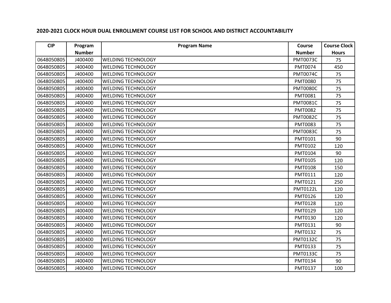| <b>CIP</b> | Program       | <b>Program Name</b>       | Course          | <b>Course Clock</b> |
|------------|---------------|---------------------------|-----------------|---------------------|
|            | <b>Number</b> |                           | <b>Number</b>   | <b>Hours</b>        |
| 0648050805 | J400400       | <b>WELDING TECHNOLOGY</b> | <b>PMT0073C</b> | 75                  |
| 0648050805 | J400400       | <b>WELDING TECHNOLOGY</b> | PMT0074         | 450                 |
| 0648050805 | J400400       | <b>WELDING TECHNOLOGY</b> | <b>PMT0074C</b> | 75                  |
| 0648050805 | J400400       | <b>WELDING TECHNOLOGY</b> | <b>PMT0080</b>  | 75                  |
| 0648050805 | J400400       | <b>WELDING TECHNOLOGY</b> | <b>PMT0080C</b> | 75                  |
| 0648050805 | J400400       | <b>WELDING TECHNOLOGY</b> | PMT0081         | 75                  |
| 0648050805 | J400400       | <b>WELDING TECHNOLOGY</b> | <b>PMT0081C</b> | 75                  |
| 0648050805 | J400400       | <b>WELDING TECHNOLOGY</b> | <b>PMT0082</b>  | 75                  |
| 0648050805 | J400400       | <b>WELDING TECHNOLOGY</b> | <b>PMT0082C</b> | 75                  |
| 0648050805 | J400400       | <b>WELDING TECHNOLOGY</b> | PMT0083         | 75                  |
| 0648050805 | J400400       | <b>WELDING TECHNOLOGY</b> | <b>PMT0083C</b> | 75                  |
| 0648050805 | J400400       | <b>WELDING TECHNOLOGY</b> | PMT0101         | 90                  |
| 0648050805 | J400400       | <b>WELDING TECHNOLOGY</b> | PMT0102         | 120                 |
| 0648050805 | J400400       | <b>WELDING TECHNOLOGY</b> | PMT0104         | 90                  |
| 0648050805 | J400400       | <b>WELDING TECHNOLOGY</b> | PMT0105         | 120                 |
| 0648050805 | J400400       | <b>WELDING TECHNOLOGY</b> | PMT0108         | 150                 |
| 0648050805 | J400400       | <b>WELDING TECHNOLOGY</b> | PMT0111         | 120                 |
| 0648050805 | J400400       | <b>WELDING TECHNOLOGY</b> | PMT0121         | 250                 |
| 0648050805 | J400400       | <b>WELDING TECHNOLOGY</b> | <b>PMT0122L</b> | 120                 |
| 0648050805 | J400400       | <b>WELDING TECHNOLOGY</b> | PMT0126         | 120                 |
| 0648050805 | J400400       | <b>WELDING TECHNOLOGY</b> | <b>PMT0128</b>  | 120                 |
| 0648050805 | J400400       | <b>WELDING TECHNOLOGY</b> | PMT0129         | 120                 |
| 0648050805 | J400400       | <b>WELDING TECHNOLOGY</b> | PMT0130         | 120                 |
| 0648050805 | J400400       | <b>WELDING TECHNOLOGY</b> | PMT0131         | 90                  |
| 0648050805 | J400400       | <b>WELDING TECHNOLOGY</b> | PMT0132         | 75                  |
| 0648050805 | J400400       | <b>WELDING TECHNOLOGY</b> | <b>PMT0132C</b> | 75                  |
| 0648050805 | J400400       | <b>WELDING TECHNOLOGY</b> | PMT0133         | 75                  |
| 0648050805 | J400400       | <b>WELDING TECHNOLOGY</b> | <b>PMT0133C</b> | 75                  |
| 0648050805 | J400400       | <b>WELDING TECHNOLOGY</b> | PMT0134         | 90                  |
| 0648050805 | J400400       | <b>WELDING TECHNOLOGY</b> | PMT0137         | 100                 |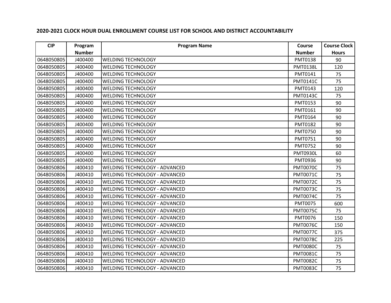| <b>CIP</b> | Program       | <b>Program Name</b>                  | Course          | <b>Course Clock</b> |
|------------|---------------|--------------------------------------|-----------------|---------------------|
|            | <b>Number</b> |                                      | <b>Number</b>   | <b>Hours</b>        |
| 0648050805 | J400400       | <b>WELDING TECHNOLOGY</b>            | PMT0138         | 90                  |
| 0648050805 | J400400       | <b>WELDING TECHNOLOGY</b>            | <b>PMT0138L</b> | 120                 |
| 0648050805 | J400400       | <b>WELDING TECHNOLOGY</b>            | PMT0141         | 75                  |
| 0648050805 | J400400       | <b>WELDING TECHNOLOGY</b>            | <b>PMT0141C</b> | 75                  |
| 0648050805 | J400400       | <b>WELDING TECHNOLOGY</b>            | PMT0143         | 120                 |
| 0648050805 | J400400       | <b>WELDING TECHNOLOGY</b>            | <b>PMT0143C</b> | 75                  |
| 0648050805 | J400400       | <b>WELDING TECHNOLOGY</b>            | PMT0153         | 90                  |
| 0648050805 | J400400       | <b>WELDING TECHNOLOGY</b>            | PMT0161         | 90                  |
| 0648050805 | J400400       | <b>WELDING TECHNOLOGY</b>            | PMT0164         | 90                  |
| 0648050805 | J400400       | <b>WELDING TECHNOLOGY</b>            | PMT0182         | 90                  |
| 0648050805 | J400400       | <b>WELDING TECHNOLOGY</b>            | <b>PMT0750</b>  | 90                  |
| 0648050805 | J400400       | <b>WELDING TECHNOLOGY</b>            | PMT0751         | 90                  |
| 0648050805 | J400400       | <b>WELDING TECHNOLOGY</b>            | PMT0752         | 90                  |
| 0648050805 | J400400       | <b>WELDING TECHNOLOGY</b>            | <b>PMT0930L</b> | 60                  |
| 0648050805 | J400400       | <b>WELDING TECHNOLOGY</b>            | PMT0936         | 90                  |
| 0648050806 | J400410       | WELDING TECHNOLOGY - ADVANCED        | <b>PMT0070C</b> | 75                  |
| 0648050806 | J400410       | WELDING TECHNOLOGY - ADVANCED        | <b>PMT0071C</b> | 75                  |
| 0648050806 | J400410       | WELDING TECHNOLOGY - ADVANCED        | <b>PMT0072C</b> | 75                  |
| 0648050806 | J400410       | WELDING TECHNOLOGY - ADVANCED        | <b>PMT0073C</b> | 75                  |
| 0648050806 | J400410       | WELDING TECHNOLOGY - ADVANCED        | <b>PMT0074C</b> | 75                  |
| 0648050806 | J400410       | WELDING TECHNOLOGY - ADVANCED        | PMT0075         | 600                 |
| 0648050806 | J400410       | WELDING TECHNOLOGY - ADVANCED        | <b>PMT0075C</b> | 75                  |
| 0648050806 | J400410       | WELDING TECHNOLOGY - ADVANCED        | <b>PMT0076</b>  | 150                 |
| 0648050806 | J400410       | WELDING TECHNOLOGY - ADVANCED        | <b>PMT0076C</b> | 150                 |
| 0648050806 | J400410       | WELDING TECHNOLOGY - ADVANCED        | <b>PMT0077C</b> | 375                 |
| 0648050806 | J400410       | <b>WELDING TECHNOLOGY - ADVANCED</b> | <b>PMT0078C</b> | 225                 |
| 0648050806 | J400410       | WELDING TECHNOLOGY - ADVANCED        | <b>PMT0080C</b> | 75                  |
| 0648050806 | J400410       | WELDING TECHNOLOGY - ADVANCED        | <b>PMT0081C</b> | 75                  |
| 0648050806 | J400410       | <b>WELDING TECHNOLOGY - ADVANCED</b> | <b>PMT0082C</b> | 75                  |
| 0648050806 | J400410       | <b>WELDING TECHNOLOGY - ADVANCED</b> | <b>PMT0083C</b> | 75                  |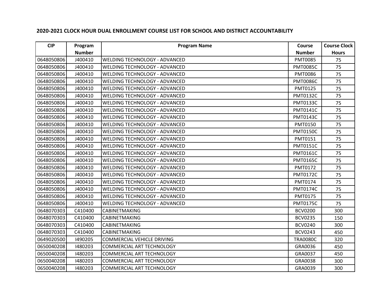| <b>CIP</b> | Program       | <b>Program Name</b>                  | Course          | <b>Course Clock</b> |
|------------|---------------|--------------------------------------|-----------------|---------------------|
|            | <b>Number</b> |                                      | <b>Number</b>   | <b>Hours</b>        |
| 0648050806 | J400410       | WELDING TECHNOLOGY - ADVANCED        | <b>PMT0085</b>  | 75                  |
| 0648050806 | J400410       | <b>WELDING TECHNOLOGY - ADVANCED</b> | <b>PMT0085C</b> | 75                  |
| 0648050806 | J400410       | <b>WELDING TECHNOLOGY - ADVANCED</b> | <b>PMT0086</b>  | 75                  |
| 0648050806 | J400410       | WELDING TECHNOLOGY - ADVANCED        | <b>PMT0086C</b> | 75                  |
| 0648050806 | J400410       | <b>WELDING TECHNOLOGY - ADVANCED</b> | PMT0125         | 75                  |
| 0648050806 | J400410       | <b>WELDING TECHNOLOGY - ADVANCED</b> | <b>PMT0132C</b> | 75                  |
| 0648050806 | J400410       | <b>WELDING TECHNOLOGY - ADVANCED</b> | <b>PMT0133C</b> | 75                  |
| 0648050806 | J400410       | <b>WELDING TECHNOLOGY - ADVANCED</b> | <b>PMT0141C</b> | 75                  |
| 0648050806 | J400410       | <b>WELDING TECHNOLOGY - ADVANCED</b> | <b>PMT0143C</b> | 75                  |
| 0648050806 | J400410       | WELDING TECHNOLOGY - ADVANCED        | PMT0150         | 75                  |
| 0648050806 | J400410       | <b>WELDING TECHNOLOGY - ADVANCED</b> | <b>PMT0150C</b> | 75                  |
| 0648050806 | J400410       | <b>WELDING TECHNOLOGY - ADVANCED</b> | PMT0151         | 75                  |
| 0648050806 | J400410       | WELDING TECHNOLOGY - ADVANCED        | <b>PMT0151C</b> | 75                  |
| 0648050806 | J400410       | <b>WELDING TECHNOLOGY - ADVANCED</b> | <b>PMT0161C</b> | 75                  |
| 0648050806 | J400410       | <b>WELDING TECHNOLOGY - ADVANCED</b> | <b>PMT0165C</b> | 75                  |
| 0648050806 | J400410       | <b>WELDING TECHNOLOGY - ADVANCED</b> | PMT0172         | 75                  |
| 0648050806 | J400410       | <b>WELDING TECHNOLOGY - ADVANCED</b> | <b>PMT0172C</b> | 75                  |
| 0648050806 | J400410       | <b>WELDING TECHNOLOGY - ADVANCED</b> | PMT0174         | 75                  |
| 0648050806 | J400410       | WELDING TECHNOLOGY - ADVANCED        | <b>PMT0174C</b> | 75                  |
| 0648050806 | J400410       | <b>WELDING TECHNOLOGY - ADVANCED</b> | PMT0175         | 75                  |
| 0648050806 | J400410       | <b>WELDING TECHNOLOGY - ADVANCED</b> | <b>PMT0175C</b> | 75                  |
| 0648070303 | C410400       | <b>CABINETMAKING</b>                 | <b>BCV0200</b>  | 300                 |
| 0648070303 | C410400       | <b>CABINETMAKING</b>                 | <b>BCV0235</b>  | 150                 |
| 0648070303 | C410400       | <b>CABINETMAKING</b>                 | <b>BCV0240</b>  | 300                 |
| 0648070303 | C410400       | <b>CABINETMAKING</b>                 | <b>BCV0243</b>  | 450                 |
| 0649020500 | 1490205       | COMMERCIAL VEHICLE DRIVING           | <b>TRA0080C</b> | 320                 |
| 0650040208 | 1480203       | <b>COMMERCIAL ART TECHNOLOGY</b>     | GRA0036         | 450                 |
| 0650040208 | 1480203       | COMMERCIAL ART TECHNOLOGY            | GRA0037         | 450                 |
| 0650040208 | 1480203       | COMMERCIAL ART TECHNOLOGY            | GRA0038         | 300                 |
| 0650040208 | 1480203       | COMMERCIAL ART TECHNOLOGY            | GRA0039         | 300                 |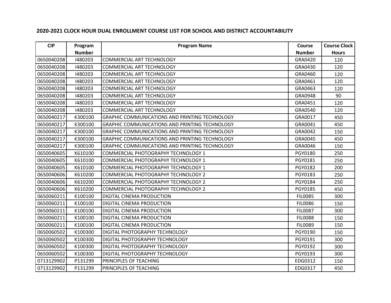| <b>CIP</b> | Program       | <b>Program Name</b>                                   | Course         | <b>Course Clock</b> |
|------------|---------------|-------------------------------------------------------|----------------|---------------------|
|            | <b>Number</b> |                                                       | <b>Number</b>  | <b>Hours</b>        |
| 0650040208 | 1480203       | COMMERCIAL ART TECHNOLOGY                             | GRA0420        | 120                 |
| 0650040208 | 1480203       | COMMERCIAL ART TECHNOLOGY                             | GRA0430        | 120                 |
| 0650040208 | 1480203       | <b>COMMERCIAL ART TECHNOLOGY</b>                      | GRA0460        | 120                 |
| 0650040208 | 1480203       | COMMERCIAL ART TECHNOLOGY                             | GRA0461        | 120                 |
| 0650040208 | 1480203       | COMMERCIAL ART TECHNOLOGY                             | GRA0463        | 120                 |
| 0650040208 | 1480203       | <b>COMMERCIAL ART TECHNOLOGY</b>                      | GRA0948        | 90                  |
| 0650040208 | 1480203       | COMMERCIAL ART TECHNOLOGY                             | GRA0451        | 120                 |
| 0650040208 | 1480203       | COMMERCIAL ART TECHNOLOGY                             | GRA0540        | 120                 |
| 0650040217 | K300100       | <b>GRAPHIC COMMUNICATIONS AND PRINTING TECHNOLOGY</b> | GRA0017        | 450                 |
| 0650040217 | K300100       | GRAPHIC COMMUNICATIONS AND PRINTING TECHNOLOGY        | GRA0041        | 450                 |
| 0650040217 | K300100       | <b>GRAPHIC COMMUNICATIONS AND PRINTING TECHNOLOGY</b> | GRA0042        | 150                 |
| 0650040217 | K300100       | <b>GRAPHIC COMMUNICATIONS AND PRINTING TECHNOLOGY</b> | GRA0045        | 450                 |
| 0650040217 | K300100       | GRAPHIC COMMUNICATIONS AND PRINTING TECHNOLOGY        | GRA0046        | 150                 |
| 0650040605 | K610100       | COMMERCIAL PHOTOGRAPHY TECHNOLOGY 1                   | PGY0180        | 250                 |
| 0650040605 | K610100       | COMMERCIAL PHOTOGRAPHY TECHNOLOGY 1                   | PGY0181        | 250                 |
| 0650040605 | K610100       | COMMERCIAL PHOTOGRAPHY TECHNOLOGY 1                   | PGY0182        | 200                 |
| 0650040606 | K610200       | COMMERCIAL PHOTOGRAPHY TECHNOLOGY 2                   | PGY0183        | 250                 |
| 0650040606 | K610200       | COMMERCIAL PHOTOGRAPHY TECHNOLOGY 2                   | PGY0184        | 250                 |
| 0650040606 | K610200       | COMMERCIAL PHOTOGRAPHY TECHNOLOGY 2                   | PGY0185        | 450                 |
| 0650060211 | K100100       | DIGITAL CINEMA PRODUCTION                             | <b>FIL0085</b> | 300                 |
| 0650060211 | K100100       | <b>DIGITAL CINEMA PRODUCTION</b>                      | <b>FIL0086</b> | 150                 |
| 0650060211 | K100100       | DIGITAL CINEMA PRODUCTION                             | <b>FIL0087</b> | 300                 |
| 0650060211 | K100100       | DIGITAL CINEMA PRODUCTION                             | <b>FIL0088</b> | 150                 |
| 0650060211 | K100100       | <b>DIGITAL CINEMA PRODUCTION</b>                      | <b>FIL0089</b> | 150                 |
| 0650060502 | K100300       | DIGITAL PHOTOGRAPHY TECHNOLOGY                        | PGY0190        | 150                 |
| 0650060502 | K100300       | DIGITAL PHOTOGRAPHY TECHNOLOGY                        | PGY0191        | 300                 |
| 0650060502 | K100300       | <b>DIGITAL PHOTOGRAPHY TECHNOLOGY</b>                 | PGY0192        | 300                 |
| 0650060502 | K100300       | DIGITAL PHOTOGRAPHY TECHNOLOGY                        | PGY0193        | 300                 |
| 0713129902 | P131299       | PRINCIPLES OF TEACHING                                | EDG0312        | 150                 |
| 0713129902 | P131299       | PRINCIPLES OF TEACHING                                | EDG0317        | 450                 |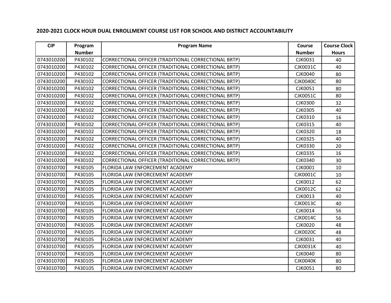| <b>CIP</b> | Program       | <b>Program Name</b>                                  | Course          | <b>Course Clock</b> |
|------------|---------------|------------------------------------------------------|-----------------|---------------------|
|            | <b>Number</b> |                                                      | <b>Number</b>   | <b>Hours</b>        |
| 0743010200 | P430102       | CORRECTIONAL OFFICER (TRADITIONAL CORRECTIONAL BRTP) | CJK0031         | 40                  |
| 0743010200 | P430102       | CORRECTIONAL OFFICER (TRADITIONAL CORRECTIONAL BRTP) | <b>CJK0031C</b> | 40                  |
| 0743010200 | P430102       | CORRECTIONAL OFFICER (TRADITIONAL CORRECTIONAL BRTP) | <b>CJK0040</b>  | 80                  |
| 0743010200 | P430102       | CORRECTIONAL OFFICER (TRADITIONAL CORRECTIONAL BRTP) | <b>CJK0040C</b> | 80                  |
| 0743010200 | P430102       | CORRECTIONAL OFFICER (TRADITIONAL CORRECTIONAL BRTP) | CJK0051         | 80                  |
| 0743010200 | P430102       | CORRECTIONAL OFFICER (TRADITIONAL CORRECTIONAL BRTP) | <b>CJK0051C</b> | 80                  |
| 0743010200 | P430102       | CORRECTIONAL OFFICER (TRADITIONAL CORRECTIONAL BRTP) | <b>CJK0300</b>  | 32                  |
| 0743010200 | P430102       | CORRECTIONAL OFFICER (TRADITIONAL CORRECTIONAL BRTP) | <b>CJK0305</b>  | 40                  |
| 0743010200 | P430102       | CORRECTIONAL OFFICER (TRADITIONAL CORRECTIONAL BRTP) | CJK0310         | 16                  |
| 0743010200 | P430102       | CORRECTIONAL OFFICER (TRADITIONAL CORRECTIONAL BRTP) | <b>CJK0315</b>  | 40                  |
| 0743010200 | P430102       | CORRECTIONAL OFFICER (TRADITIONAL CORRECTIONAL BRTP) | <b>CJK0320</b>  | 18                  |
| 0743010200 | P430102       | CORRECTIONAL OFFICER (TRADITIONAL CORRECTIONAL BRTP) | <b>CJK0325</b>  | 40                  |
| 0743010200 | P430102       | CORRECTIONAL OFFICER (TRADITIONAL CORRECTIONAL BRTP) | <b>CJK0330</b>  | 20                  |
| 0743010200 | P430102       | CORRECTIONAL OFFICER (TRADITIONAL CORRECTIONAL BRTP) | <b>CJK0335</b>  | 16                  |
| 0743010200 | P430102       | CORRECTIONAL OFFICER (TRADITIONAL CORRECTIONAL BRTP) | <b>CJK0340</b>  | 30                  |
| 0743010700 | P430105       | FLORIDA LAW ENFORCEMENT ACADEMY                      | <b>CJK0001</b>  | 10                  |
| 0743010700 | P430105       | FLORIDA LAW ENFORCEMENT ACADEMY                      | <b>CJK0001C</b> | 10                  |
| 0743010700 | P430105       | <b>FLORIDA LAW ENFORCEMENT ACADEMY</b>               | <b>CJK0012</b>  | 62                  |
| 0743010700 | P430105       | FLORIDA LAW ENFORCEMENT ACADEMY                      | <b>CJK0012C</b> | 62                  |
| 0743010700 | P430105       | FLORIDA LAW ENFORCEMENT ACADEMY                      | CJK0013         | 40                  |
| 0743010700 | P430105       | <b>FLORIDA LAW ENFORCEMENT ACADEMY</b>               | <b>CJK0013C</b> | 40                  |
| 0743010700 | P430105       | FLORIDA LAW ENFORCEMENT ACADEMY                      | CJK0014         | 56                  |
| 0743010700 | P430105       | <b>FLORIDA LAW ENFORCEMENT ACADEMY</b>               | <b>CJK0014C</b> | 56                  |
| 0743010700 | P430105       | FLORIDA LAW ENFORCEMENT ACADEMY                      | <b>CJK0020</b>  | 48                  |
| 0743010700 | P430105       | FLORIDA LAW ENFORCEMENT ACADEMY                      | <b>CJK0020C</b> | 48                  |
| 0743010700 | P430105       | FLORIDA LAW ENFORCEMENT ACADEMY                      | CJK0031         | 40                  |
| 0743010700 | P430105       | <b>FLORIDA LAW ENFORCEMENT ACADEMY</b>               | <b>CJK0031K</b> | 40                  |
| 0743010700 | P430105       | <b>FLORIDA LAW ENFORCEMENT ACADEMY</b>               | <b>CJK0040</b>  | 80                  |
| 0743010700 | P430105       | <b>FLORIDA LAW ENFORCEMENT ACADEMY</b>               | <b>CJK0040K</b> | 80                  |
| 0743010700 | P430105       | FLORIDA LAW ENFORCEMENT ACADEMY                      | <b>CJK0051</b>  | 80                  |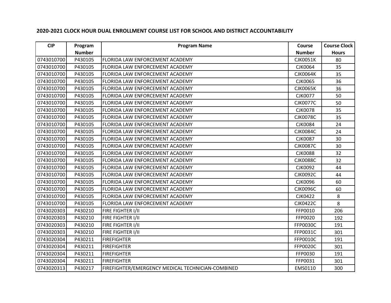| <b>CIP</b> | Program       | <b>Program Name</b>                               | Course          | <b>Course Clock</b> |
|------------|---------------|---------------------------------------------------|-----------------|---------------------|
|            | <b>Number</b> |                                                   | <b>Number</b>   | <b>Hours</b>        |
| 0743010700 | P430105       | FLORIDA LAW ENFORCEMENT ACADEMY                   | <b>CJK0051K</b> | 80                  |
| 0743010700 | P430105       | FLORIDA LAW ENFORCEMENT ACADEMY                   | <b>CJK0064</b>  | 35                  |
| 0743010700 | P430105       | FLORIDA LAW ENFORCEMENT ACADEMY                   | <b>CJK0064K</b> | 35                  |
| 0743010700 | P430105       | FLORIDA LAW ENFORCEMENT ACADEMY                   | <b>CJK0065</b>  | 36                  |
| 0743010700 | P430105       | FLORIDA LAW ENFORCEMENT ACADEMY                   | <b>CJK0065K</b> | 36                  |
| 0743010700 | P430105       | FLORIDA LAW ENFORCEMENT ACADEMY                   | <b>CJK0077</b>  | 50                  |
| 0743010700 | P430105       | FLORIDA LAW ENFORCEMENT ACADEMY                   | <b>CJK0077C</b> | 50                  |
| 0743010700 | P430105       | FLORIDA LAW ENFORCEMENT ACADEMY                   | <b>CJK0078</b>  | 35                  |
| 0743010700 | P430105       | FLORIDA LAW ENFORCEMENT ACADEMY                   | <b>CJK0078C</b> | 35                  |
| 0743010700 | P430105       | FLORIDA LAW ENFORCEMENT ACADEMY                   | <b>CJK0084</b>  | 24                  |
| 0743010700 | P430105       | FLORIDA LAW ENFORCEMENT ACADEMY                   | <b>CJK0084C</b> | 24                  |
| 0743010700 | P430105       | FLORIDA LAW ENFORCEMENT ACADEMY                   | <b>CJK0087</b>  | 30                  |
| 0743010700 | P430105       | FLORIDA LAW ENFORCEMENT ACADEMY                   | <b>CJK0087C</b> | 30                  |
| 0743010700 | P430105       | FLORIDA LAW ENFORCEMENT ACADEMY                   | <b>CJK0088</b>  | 32                  |
| 0743010700 | P430105       | FLORIDA LAW ENFORCEMENT ACADEMY                   | <b>CJK0088C</b> | 32                  |
| 0743010700 | P430105       | FLORIDA LAW ENFORCEMENT ACADEMY                   | <b>CJK0092</b>  | 44                  |
| 0743010700 | P430105       | FLORIDA LAW ENFORCEMENT ACADEMY                   | <b>CJK0092C</b> | 44                  |
| 0743010700 | P430105       | FLORIDA LAW ENFORCEMENT ACADEMY                   | <b>CJK0096</b>  | 60                  |
| 0743010700 | P430105       | FLORIDA LAW ENFORCEMENT ACADEMY                   | <b>CJK0096C</b> | 60                  |
| 0743010700 | P430105       | FLORIDA LAW ENFORCEMENT ACADEMY                   | <b>CJK0422</b>  | 8                   |
| 0743010700 | P430105       | FLORIDA LAW ENFORCEMENT ACADEMY                   | <b>CJK0422C</b> | 8                   |
| 0743020303 | P430210       | FIRE FIGHTER I/II                                 | FFP0010         | 206                 |
| 0743020303 | P430210       | FIRE FIGHTER I/II                                 | FFP0020         | 192                 |
| 0743020303 | P430210       | FIRE FIGHTER I/II                                 | <b>FFP0030C</b> | 191                 |
| 0743020303 | P430210       | FIRE FIGHTER I/II                                 | FFP0031C        | 301                 |
| 0743020304 | P430211       | <b>FIREFIGHTER</b>                                | FFP0010C        | 191                 |
| 0743020304 | P430211       | <b>FIREFIGHTER</b>                                | <b>FFP0020C</b> | 301                 |
| 0743020304 | P430211       | <b>FIREFIGHTER</b>                                | FFP0030         | 191                 |
| 0743020304 | P430211       | <b>FIREFIGHTER</b>                                | FFP0031         | 301                 |
| 0743020313 | P430217       | FIREFIGHTER/EMERGENCY MEDICAL TECHNICIAN-COMBINED | EMS0110         | 300                 |